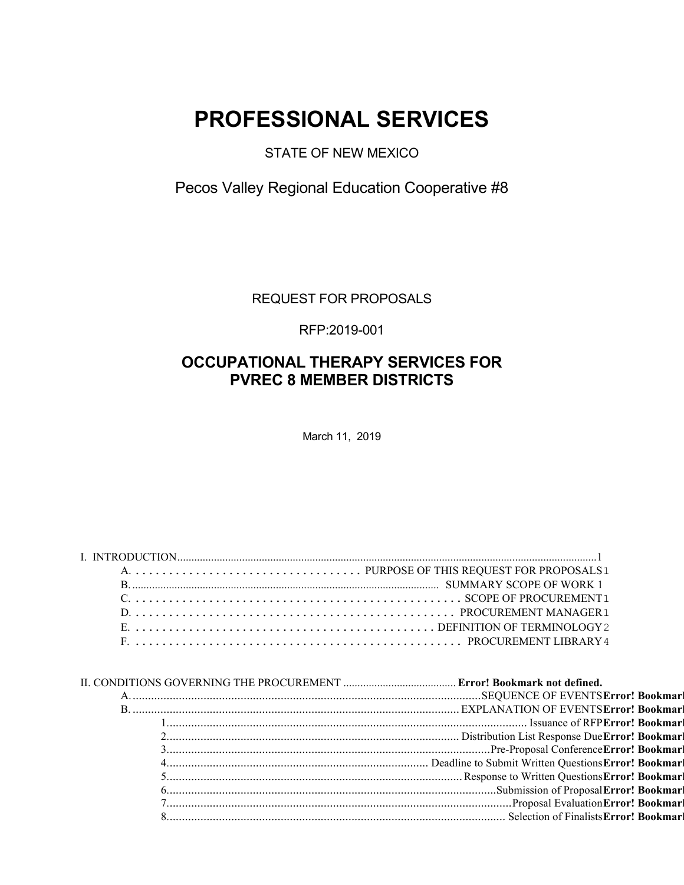# **PROFESSIONAL SERVICES**

### STATE OF NEW MEXICO

Pecos Valley Regional Education Cooperative #8

REQUEST FOR PROPOSALS

RFP:2019-001

### **OCCUPATIONAL THERAPY SERVICES FOR PVREC 8 MEMBER DISTRICTS**

March 11, 2019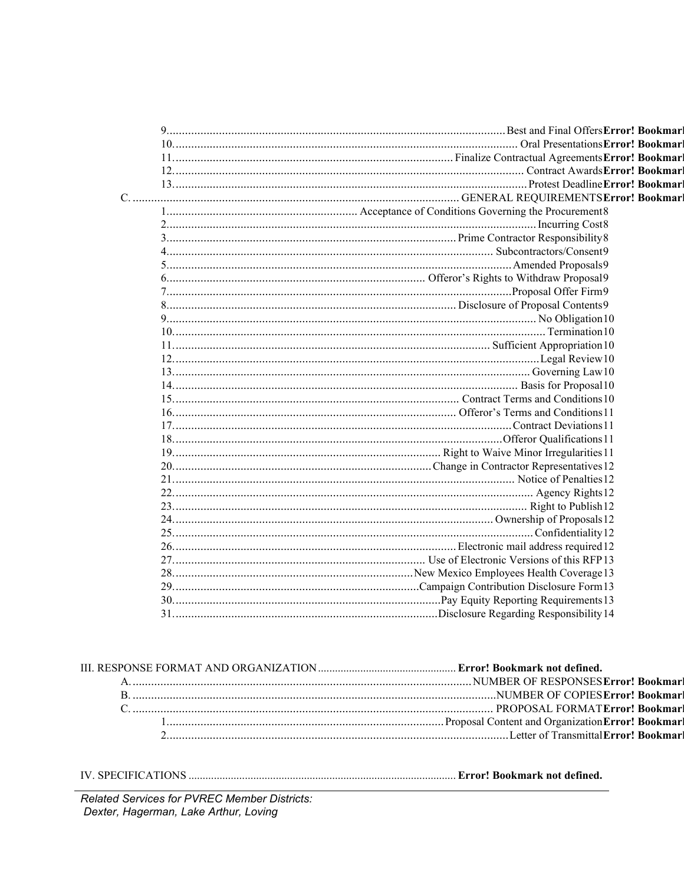Related Services for PVREC Member Districts: Dexter, Hagerman, Lake Arthur, Loving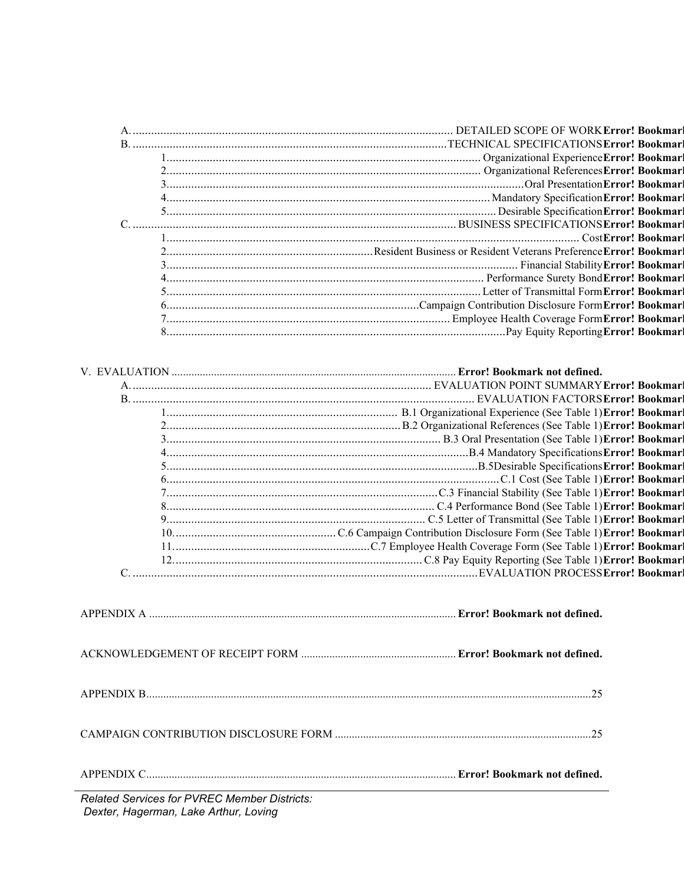| <b>Related Services for PVREC Member Districts:</b> |
|-----------------------------------------------------|

*Dexter, Hagerman, Lake Arthur, Loving*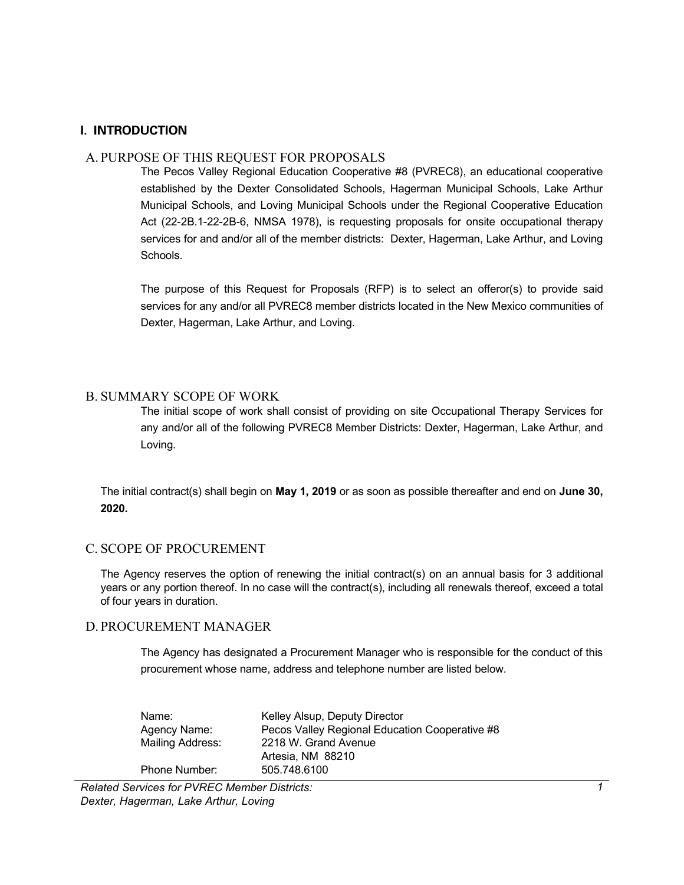### <span id="page-4-0"></span>**I. INTRODUCTION**

### <span id="page-4-1"></span>A. PURPOSE OF THIS REQUEST FOR PROPOSALS

The Pecos Valley Regional Education Cooperative #8 (PVREC8), an educational cooperative established by the Dexter Consolidated Schools, Hagerman Municipal Schools, Lake Arthur Municipal Schools, and Loving Municipal Schools under the Regional Cooperative Education Act (22-2B.1-22-2B-6, NMSA 1978), is requesting proposals for onsite occupational therapy services for and and/or all of the member districts: Dexter, Hagerman, Lake Arthur, and Loving Schools.

The purpose of this Request for Proposals (RFP) is to select an offeror(s) to provide said services for any and/or all PVREC8 member districts located in the New Mexico communities of Dexter, Hagerman, Lake Arthur, and Loving.

### <span id="page-4-2"></span>B. SUMMARY SCOPE OF WORK

The initial scope of work shall consist of providing on site Occupational Therapy Services for any and/or all of the following PVREC8 Member Districts: Dexter, Hagerman, Lake Arthur, and Loving.

The initial contract(s) shall begin on **May 1, 2019** or as soon as possible thereafter and end on **June 30, 2020.**

### <span id="page-4-3"></span>C. SCOPE OF PROCUREMENT

The Agency reserves the option of renewing the initial contract(s) on an annual basis for 3 additional years or any portion thereof. In no case will the contract(s), including all renewals thereof, exceed a total of four years in duration.

### <span id="page-4-4"></span>D. PROCUREMENT MANAGER

The Agency has designated a Procurement Manager who is responsible for the conduct of this procurement whose name, address and telephone number are listed below.

| Name:            | Kelley Alsup, Deputy Director                  |
|------------------|------------------------------------------------|
| Agency Name:     | Pecos Valley Regional Education Cooperative #8 |
| Mailing Address: | 2218 W. Grand Avenue                           |
|                  | Artesia, NM 88210                              |
| Phone Number:    | 505.748.6100                                   |

*Related Services for PVREC Member Districts: Dexter, Hagerman, Lake Arthur, Loving*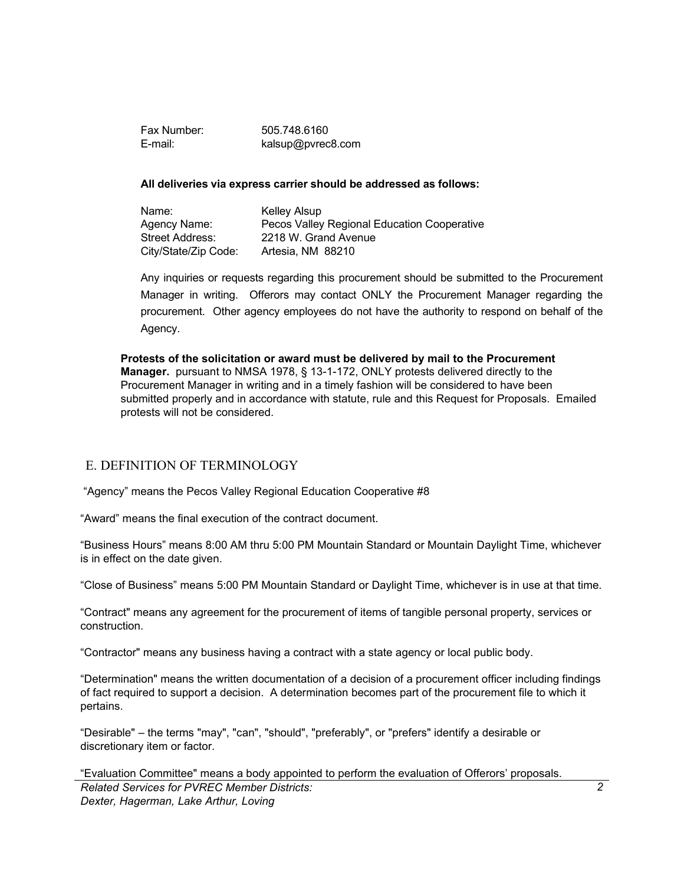Fax Number: 505.748.6160 E-mail: kalsup@pvrec8.com

#### **All deliveries via express carrier should be addressed as follows:**

Name: Kelley Alsup Agency Name: Pecos Valley Regional Education Cooperative Street Address: 2218 W. Grand Avenue City/State/Zip Code: Artesia, NM 88210

Any inquiries or requests regarding this procurement should be submitted to the Procurement Manager in writing. Offerors may contact ONLY the Procurement Manager regarding the procurement. Other agency employees do not have the authority to respond on behalf of the Agency.

**Protests of the solicitation or award must be delivered by mail to the Procurement Manager.** pursuant to NMSA 1978, § 13-1-172, ONLY protests delivered directly to the Procurement Manager in writing and in a timely fashion will be considered to have been submitted properly and in accordance with statute, rule and this Request for Proposals. Emailed protests will not be considered.

### <span id="page-5-0"></span>E. DEFINITION OF TERMINOLOGY

"Agency" means the Pecos Valley Regional Education Cooperative #8

"Award" means the final execution of the contract document.

"Business Hours" means 8:00 AM thru 5:00 PM Mountain Standard or Mountain Daylight Time, whichever is in effect on the date given.

"Close of Business" means 5:00 PM Mountain Standard or Daylight Time, whichever is in use at that time.

"Contract" means any agreement for the procurement of items of tangible personal property, services or construction.

"Contractor" means any business having a contract with a state agency or local public body.

"Determination" means the written documentation of a decision of a procurement officer including findings of fact required to support a decision. A determination becomes part of the procurement file to which it pertains.

"Desirable" – the terms "may", "can", "should", "preferably", or "prefers" identify a desirable or discretionary item or factor.

*Related Services for PVREC Member Districts: Dexter, Hagerman, Lake Arthur, Loving* "Evaluation Committee" means a body appointed to perform the evaluation of Offerors' proposals.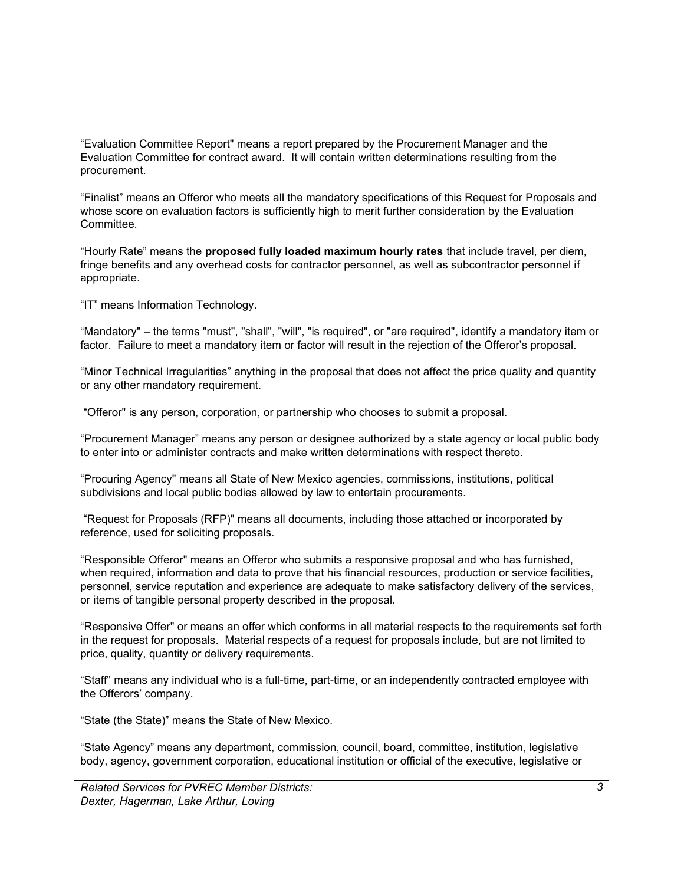"Evaluation Committee Report" means a report prepared by the Procurement Manager and the Evaluation Committee for contract award. It will contain written determinations resulting from the procurement.

"Finalist" means an Offeror who meets all the mandatory specifications of this Request for Proposals and whose score on evaluation factors is sufficiently high to merit further consideration by the Evaluation Committee.

"Hourly Rate" means the **proposed fully loaded maximum hourly rates** that include travel, per diem, fringe benefits and any overhead costs for contractor personnel, as well as subcontractor personnel if appropriate.

"IT" means Information Technology.

"Mandatory" – the terms "must", "shall", "will", "is required", or "are required", identify a mandatory item or factor. Failure to meet a mandatory item or factor will result in the rejection of the Offeror's proposal.

"Minor Technical Irregularities" anything in the proposal that does not affect the price quality and quantity or any other mandatory requirement.

"Offeror" is any person, corporation, or partnership who chooses to submit a proposal.

"Procurement Manager" means any person or designee authorized by a state agency or local public body to enter into or administer contracts and make written determinations with respect thereto.

"Procuring Agency" means all State of New Mexico agencies, commissions, institutions, political subdivisions and local public bodies allowed by law to entertain procurements.

"Request for Proposals (RFP)" means all documents, including those attached or incorporated by reference, used for soliciting proposals.

"Responsible Offeror" means an Offeror who submits a responsive proposal and who has furnished, when required, information and data to prove that his financial resources, production or service facilities, personnel, service reputation and experience are adequate to make satisfactory delivery of the services, or items of tangible personal property described in the proposal.

"Responsive Offer" or means an offer which conforms in all material respects to the requirements set forth in the request for proposals. Material respects of a request for proposals include, but are not limited to price, quality, quantity or delivery requirements.

"Staff" means any individual who is a full-time, part-time, or an independently contracted employee with the Offerors' company.

"State (the State)" means the State of New Mexico.

"State Agency" means any department, commission, council, board, committee, institution, legislative body, agency, government corporation, educational institution or official of the executive, legislative or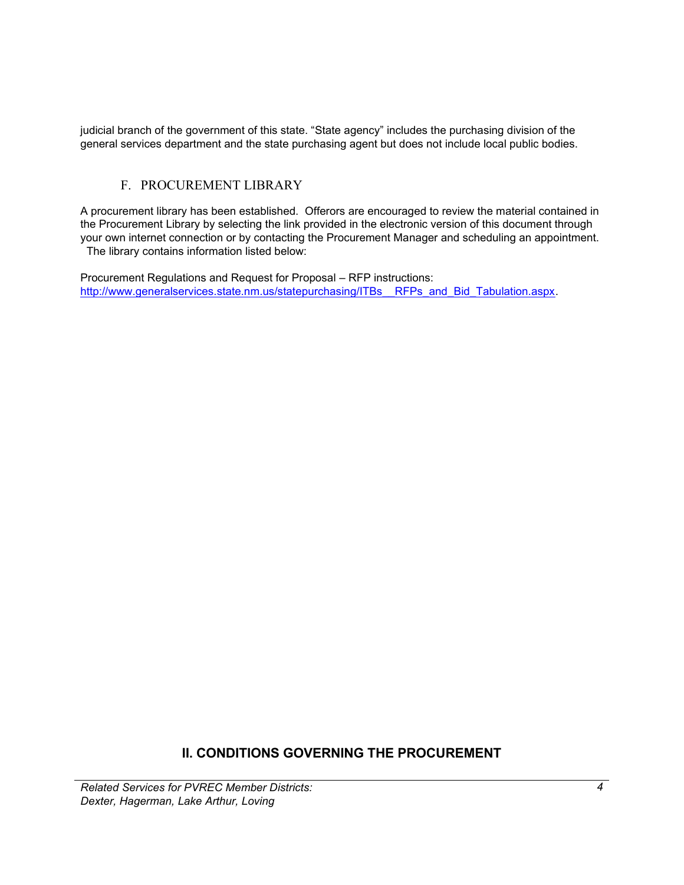judicial branch of the government of this state. "State agency" includes the purchasing division of the general services department and the state purchasing agent but does not include local public bodies.

### F. PROCUREMENT LIBRARY

<span id="page-7-0"></span>A procurement library has been established. Offerors are encouraged to review the material contained in the Procurement Library by selecting the link provided in the electronic version of this document through your own internet connection or by contacting the Procurement Manager and scheduling an appointment. The library contains information listed below:

Procurement Regulations and Request for Proposal – RFP instructions: http://www.generalservices.state.nm.us/statepurchasing/ITBs RFPs and Bid Tabulation.aspx.

### **II. CONDITIONS GOVERNING THE PROCUREMENT**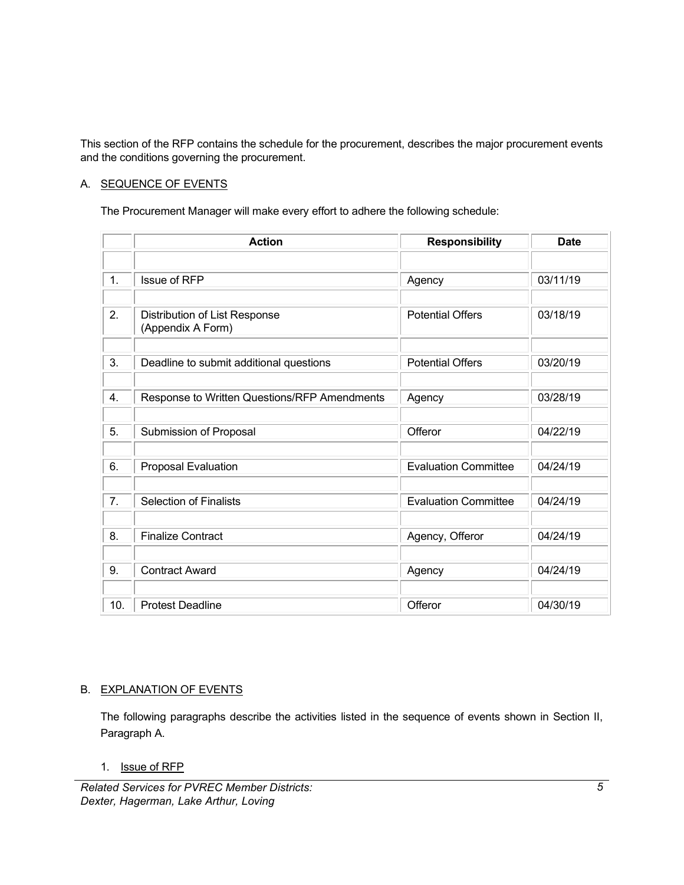This section of the RFP contains the schedule for the procurement, describes the major procurement events and the conditions governing the procurement.

### A. SEQUENCE OF EVENTS

The Procurement Manager will make every effort to adhere the following schedule:

|     | <b>Action</b>                                | <b>Responsibility</b>       | <b>Date</b> |
|-----|----------------------------------------------|-----------------------------|-------------|
|     |                                              |                             |             |
| 1.  | <b>Issue of RFP</b>                          | Agency                      | 03/11/19    |
|     |                                              |                             |             |
| 2.  | Distribution of List Response                | <b>Potential Offers</b>     | 03/18/19    |
|     | (Appendix A Form)                            |                             |             |
| 3.  | Deadline to submit additional questions      | <b>Potential Offers</b>     | 03/20/19    |
|     |                                              |                             |             |
| 4.  | Response to Written Questions/RFP Amendments | Agency                      | 03/28/19    |
|     |                                              |                             |             |
| 5.  | Submission of Proposal                       | Offeror                     | 04/22/19    |
|     |                                              |                             |             |
| 6.  | Proposal Evaluation                          | <b>Evaluation Committee</b> | 04/24/19    |
|     |                                              |                             |             |
| 7.  | <b>Selection of Finalists</b>                | <b>Evaluation Committee</b> | 04/24/19    |
|     |                                              |                             |             |
| 8.  | <b>Finalize Contract</b>                     | Agency, Offeror             | 04/24/19    |
| 9.  | <b>Contract Award</b>                        | Agency                      | 04/24/19    |
|     |                                              |                             |             |
| 10. | <b>Protest Deadline</b>                      | Offeror                     | 04/30/19    |

### B. EXPLANATION OF EVENTS

The following paragraphs describe the activities listed in the sequence of events shown in Section II, Paragraph A.

1. Issue of RFP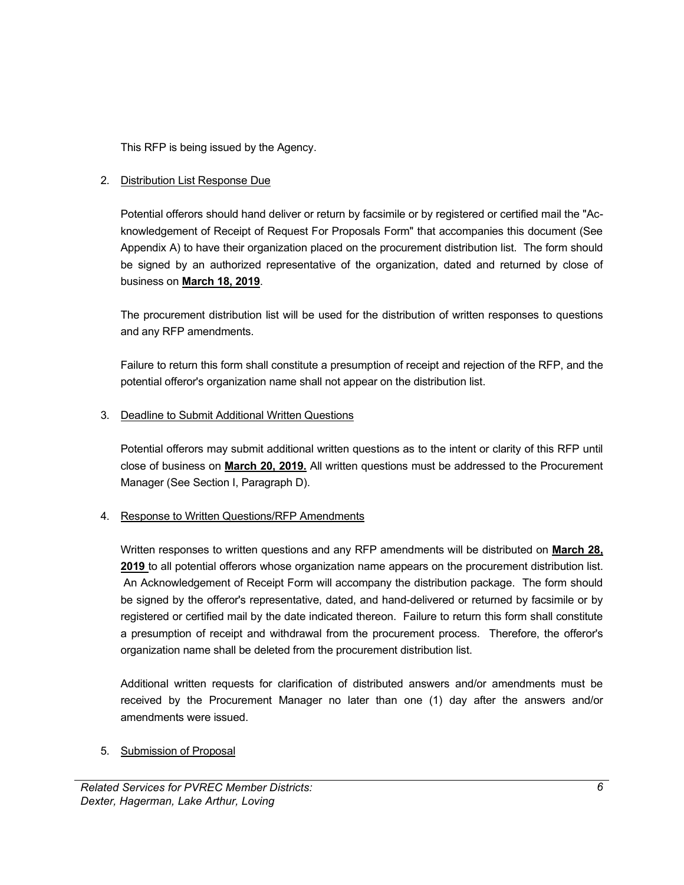This RFP is being issued by the Agency.

### 2. Distribution List Response Due

Potential offerors should hand deliver or return by facsimile or by registered or certified mail the "Acknowledgement of Receipt of Request For Proposals Form" that accompanies this document (See Appendix A) to have their organization placed on the procurement distribution list. The form should be signed by an authorized representative of the organization, dated and returned by close of business on **March 18, 2019**.

The procurement distribution list will be used for the distribution of written responses to questions and any RFP amendments.

Failure to return this form shall constitute a presumption of receipt and rejection of the RFP, and the potential offeror's organization name shall not appear on the distribution list.

### 3. Deadline to Submit Additional Written Questions

Potential offerors may submit additional written questions as to the intent or clarity of this RFP until close of business on **March 20, 2019.** All written questions must be addressed to the Procurement Manager (See Section I, Paragraph D).

### 4. Response to Written Questions/RFP Amendments

Written responses to written questions and any RFP amendments will be distributed on **March 28, 2019** to all potential offerors whose organization name appears on the procurement distribution list. An Acknowledgement of Receipt Form will accompany the distribution package. The form should be signed by the offeror's representative, dated, and hand-delivered or returned by facsimile or by registered or certified mail by the date indicated thereon. Failure to return this form shall constitute a presumption of receipt and withdrawal from the procurement process. Therefore, the offeror's organization name shall be deleted from the procurement distribution list.

Additional written requests for clarification of distributed answers and/or amendments must be received by the Procurement Manager no later than one (1) day after the answers and/or amendments were issued.

### 5. Submission of Proposal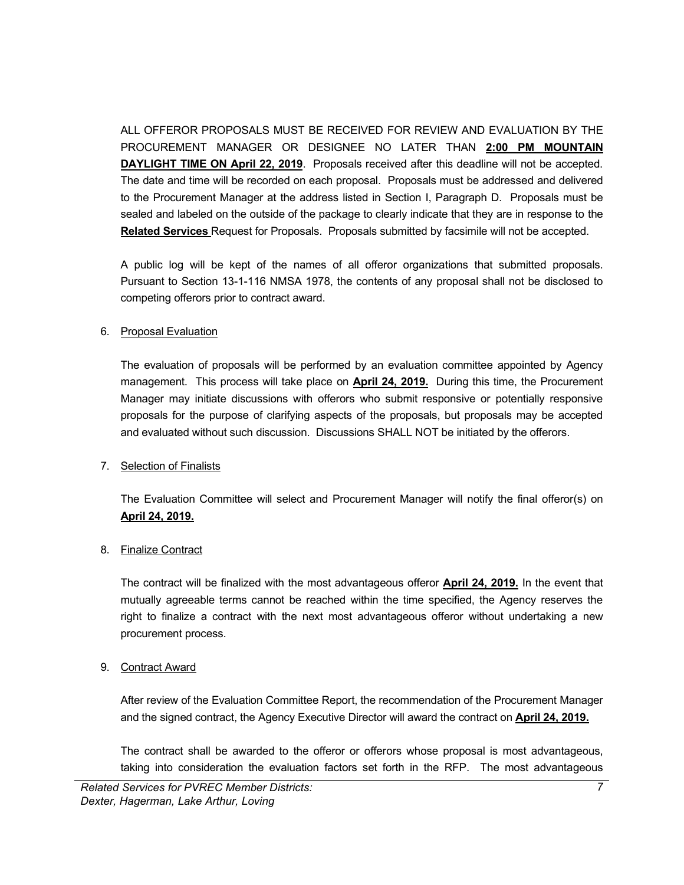ALL OFFEROR PROPOSALS MUST BE RECEIVED FOR REVIEW AND EVALUATION BY THE PROCUREMENT MANAGER OR DESIGNEE NO LATER THAN **2:00 PM MOUNTAIN DAYLIGHT TIME ON April 22, 2019**. Proposals received after this deadline will not be accepted. The date and time will be recorded on each proposal. Proposals must be addressed and delivered to the Procurement Manager at the address listed in Section I, Paragraph D. Proposals must be sealed and labeled on the outside of the package to clearly indicate that they are in response to the **Related Services** Request for Proposals. Proposals submitted by facsimile will not be accepted.

A public log will be kept of the names of all offeror organizations that submitted proposals. Pursuant to Section 13-1-116 NMSA 1978, the contents of any proposal shall not be disclosed to competing offerors prior to contract award.

### 6. Proposal Evaluation

The evaluation of proposals will be performed by an evaluation committee appointed by Agency management. This process will take place on **April 24, 2019.** During this time, the Procurement Manager may initiate discussions with offerors who submit responsive or potentially responsive proposals for the purpose of clarifying aspects of the proposals, but proposals may be accepted and evaluated without such discussion. Discussions SHALL NOT be initiated by the offerors.

### 7. Selection of Finalists

The Evaluation Committee will select and Procurement Manager will notify the final offeror(s) on **April 24, 2019.**

### 8. Finalize Contract

The contract will be finalized with the most advantageous offeror **April 24, 2019.** In the event that mutually agreeable terms cannot be reached within the time specified, the Agency reserves the right to finalize a contract with the next most advantageous offeror without undertaking a new procurement process.

### 9. Contract Award

After review of the Evaluation Committee Report, the recommendation of the Procurement Manager and the signed contract, the Agency Executive Director will award the contract on **April 24, 2019.**

The contract shall be awarded to the offeror or offerors whose proposal is most advantageous, taking into consideration the evaluation factors set forth in the RFP. The most advantageous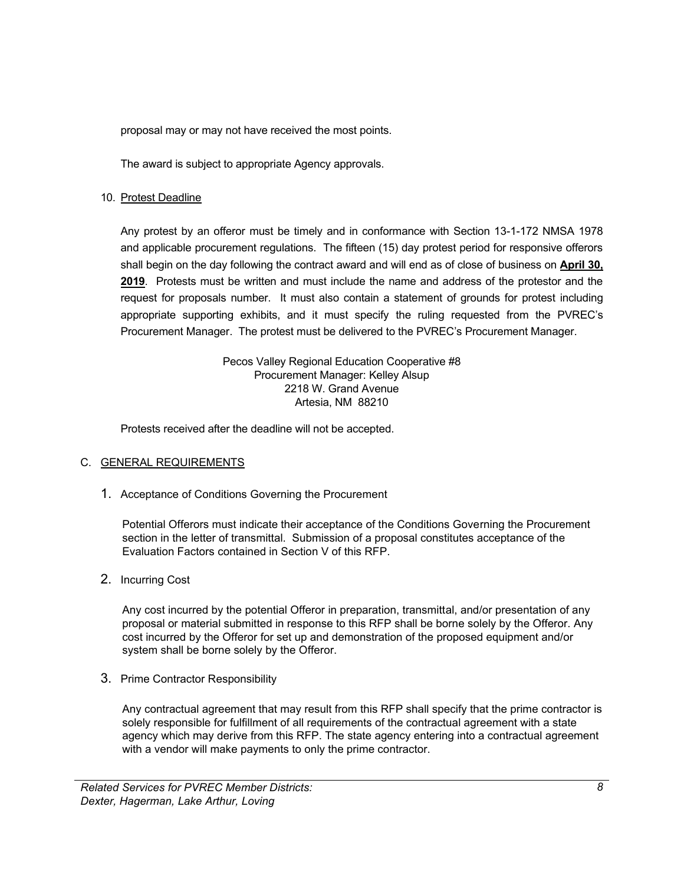proposal may or may not have received the most points.

The award is subject to appropriate Agency approvals.

### 10. Protest Deadline

Any protest by an offeror must be timely and in conformance with Section 13-1-172 NMSA 1978 and applicable procurement regulations. The fifteen (15) day protest period for responsive offerors shall begin on the day following the contract award and will end as of close of business on **April 30, 2019**. Protests must be written and must include the name and address of the protestor and the request for proposals number. It must also contain a statement of grounds for protest including appropriate supporting exhibits, and it must specify the ruling requested from the PVREC's Procurement Manager. The protest must be delivered to the PVREC's Procurement Manager.

> Pecos Valley Regional Education Cooperative #8 Procurement Manager: Kelley Alsup 2218 W. Grand Avenue Artesia, NM 88210

Protests received after the deadline will not be accepted.

### <span id="page-11-0"></span>C. GENERAL REQUIREMENTS

1. Acceptance of Conditions Governing the Procurement

Potential Offerors must indicate their acceptance of the Conditions Governing the Procurement section in the letter of transmittal. Submission of a proposal constitutes acceptance of the Evaluation Factors contained in Section V of this RFP.

<span id="page-11-1"></span>2. Incurring Cost

Any cost incurred by the potential Offeror in preparation, transmittal, and/or presentation of any proposal or material submitted in response to this RFP shall be borne solely by the Offeror. Any cost incurred by the Offeror for set up and demonstration of the proposed equipment and/or system shall be borne solely by the Offeror.

<span id="page-11-2"></span>3. Prime Contractor Responsibility

Any contractual agreement that may result from this RFP shall specify that the prime contractor is solely responsible for fulfillment of all requirements of the contractual agreement with a state agency which may derive from this RFP. The state agency entering into a contractual agreement with a vendor will make payments to only the prime contractor.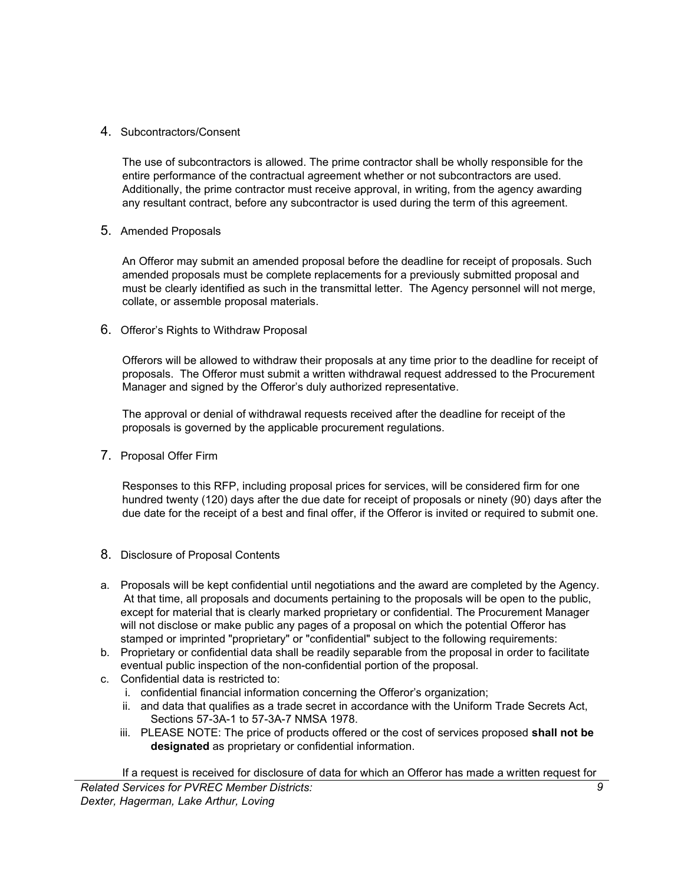### <span id="page-12-0"></span>4. Subcontractors/Consent

The use of subcontractors is allowed. The prime contractor shall be wholly responsible for the entire performance of the contractual agreement whether or not subcontractors are used. Additionally, the prime contractor must receive approval, in writing, from the agency awarding any resultant contract, before any subcontractor is used during the term of this agreement.

### <span id="page-12-1"></span>5. Amended Proposals

An Offeror may submit an amended proposal before the deadline for receipt of proposals. Such amended proposals must be complete replacements for a previously submitted proposal and must be clearly identified as such in the transmittal letter. The Agency personnel will not merge, collate, or assemble proposal materials.

### <span id="page-12-2"></span>6. Offeror's Rights to Withdraw Proposal

Offerors will be allowed to withdraw their proposals at any time prior to the deadline for receipt of proposals. The Offeror must submit a written withdrawal request addressed to the Procurement Manager and signed by the Offeror's duly authorized representative.

The approval or denial of withdrawal requests received after the deadline for receipt of the proposals is governed by the applicable procurement regulations.

<span id="page-12-3"></span>7. Proposal Offer Firm

Responses to this RFP, including proposal prices for services, will be considered firm for one hundred twenty (120) days after the due date for receipt of proposals or ninety (90) days after the due date for the receipt of a best and final offer, if the Offeror is invited or required to submit one.

- <span id="page-12-4"></span>8. Disclosure of Proposal Contents
- a. Proposals will be kept confidential until negotiations and the award are completed by the Agency. At that time, all proposals and documents pertaining to the proposals will be open to the public, except for material that is clearly marked proprietary or confidential. The Procurement Manager will not disclose or make public any pages of a proposal on which the potential Offeror has stamped or imprinted "proprietary" or "confidential" subject to the following requirements:
- b. Proprietary or confidential data shall be readily separable from the proposal in order to facilitate eventual public inspection of the non-confidential portion of the proposal.
- c. Confidential data is restricted to:
	- i. confidential financial information concerning the Offeror's organization;
	- ii. and data that qualifies as a trade secret in accordance with the Uniform Trade Secrets Act, Sections 57-3A-1 to 57-3A-7 NMSA 1978.
	- iii. PLEASE NOTE: The price of products offered or the cost of services proposed **shall not be designated** as proprietary or confidential information.

If a request is received for disclosure of data for which an Offeror has made a written request for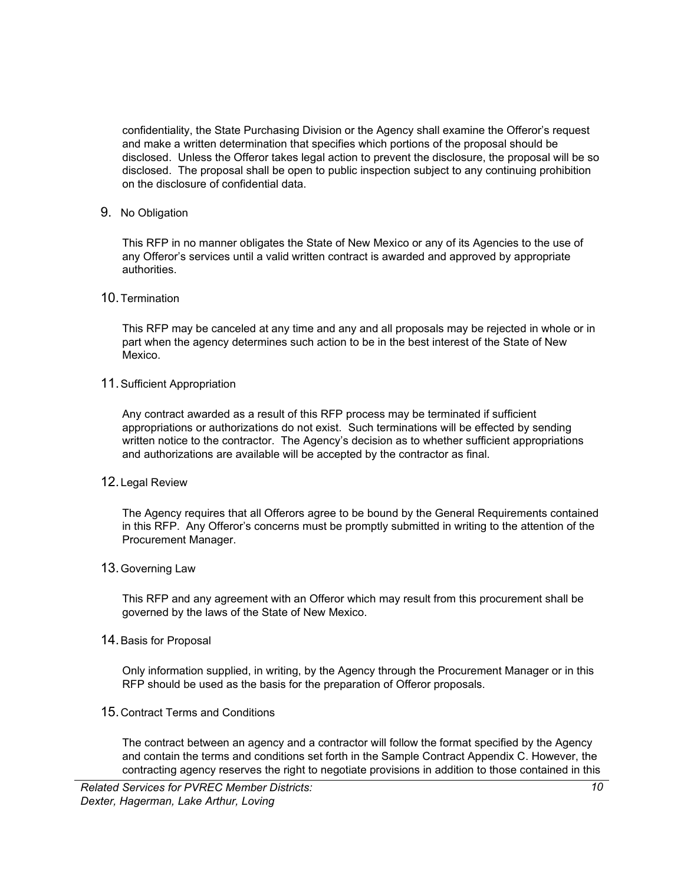confidentiality, the State Purchasing Division or the Agency shall examine the Offeror's request and make a written determination that specifies which portions of the proposal should be disclosed. Unless the Offeror takes legal action to prevent the disclosure, the proposal will be so disclosed. The proposal shall be open to public inspection subject to any continuing prohibition on the disclosure of confidential data.

<span id="page-13-0"></span>9. No Obligation

This RFP in no manner obligates the State of New Mexico or any of its Agencies to the use of any Offeror's services until a valid written contract is awarded and approved by appropriate authorities.

<span id="page-13-1"></span>10.Termination

This RFP may be canceled at any time and any and all proposals may be rejected in whole or in part when the agency determines such action to be in the best interest of the State of New Mexico.

<span id="page-13-2"></span>11.Sufficient Appropriation

Any contract awarded as a result of this RFP process may be terminated if sufficient appropriations or authorizations do not exist. Such terminations will be effected by sending written notice to the contractor. The Agency's decision as to whether sufficient appropriations and authorizations are available will be accepted by the contractor as final.

<span id="page-13-3"></span>12.Legal Review

The Agency requires that all Offerors agree to be bound by the General Requirements contained in this RFP. Any Offeror's concerns must be promptly submitted in writing to the attention of the Procurement Manager.

<span id="page-13-4"></span>13.Governing Law

This RFP and any agreement with an Offeror which may result from this procurement shall be governed by the laws of the State of New Mexico.

<span id="page-13-5"></span>14.Basis for Proposal

Only information supplied, in writing, by the Agency through the Procurement Manager or in this RFP should be used as the basis for the preparation of Offeror proposals.

<span id="page-13-6"></span>15.Contract Terms and Conditions

The contract between an agency and a contractor will follow the format specified by the Agency and contain the terms and conditions set forth in the Sample Contract Appendix C. However, the contracting agency reserves the right to negotiate provisions in addition to those contained in this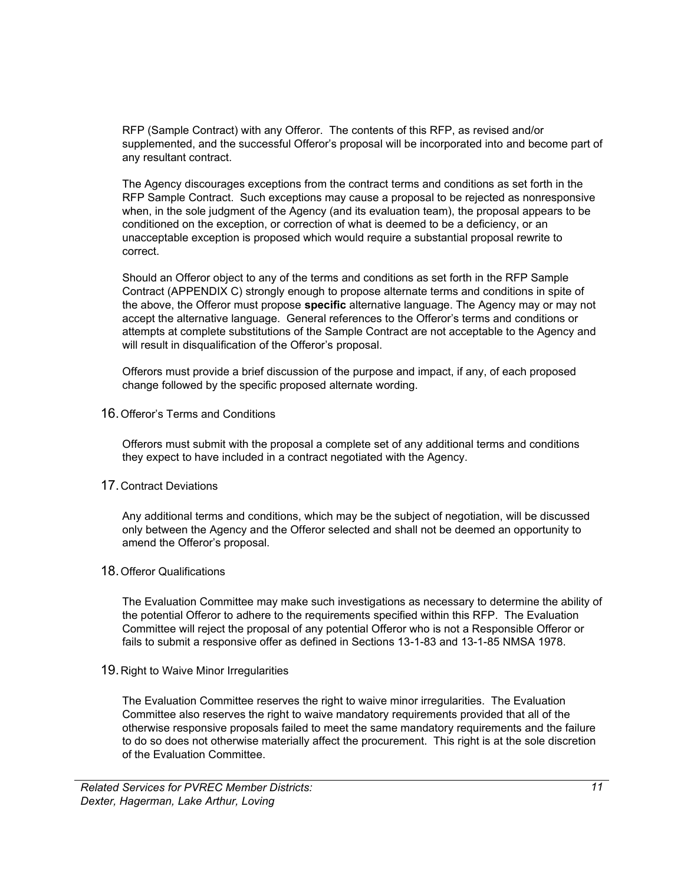RFP (Sample Contract) with any Offeror. The contents of this RFP, as revised and/or supplemented, and the successful Offeror's proposal will be incorporated into and become part of any resultant contract.

The Agency discourages exceptions from the contract terms and conditions as set forth in the RFP Sample Contract. Such exceptions may cause a proposal to be rejected as nonresponsive when, in the sole judgment of the Agency (and its evaluation team), the proposal appears to be conditioned on the exception, or correction of what is deemed to be a deficiency, or an unacceptable exception is proposed which would require a substantial proposal rewrite to correct.

Should an Offeror object to any of the terms and conditions as set forth in the RFP Sample Contract (APPENDIX C) strongly enough to propose alternate terms and conditions in spite of the above, the Offeror must propose **specific** alternative language. The Agency may or may not accept the alternative language. General references to the Offeror's terms and conditions or attempts at complete substitutions of the Sample Contract are not acceptable to the Agency and will result in disqualification of the Offeror's proposal.

Offerors must provide a brief discussion of the purpose and impact, if any, of each proposed change followed by the specific proposed alternate wording.

<span id="page-14-0"></span>16.Offeror's Terms and Conditions

Offerors must submit with the proposal a complete set of any additional terms and conditions they expect to have included in a contract negotiated with the Agency.

### <span id="page-14-1"></span>17.Contract Deviations

Any additional terms and conditions, which may be the subject of negotiation, will be discussed only between the Agency and the Offeror selected and shall not be deemed an opportunity to amend the Offeror's proposal.

### <span id="page-14-2"></span>18.Offeror Qualifications

The Evaluation Committee may make such investigations as necessary to determine the ability of the potential Offeror to adhere to the requirements specified within this RFP. The Evaluation Committee will reject the proposal of any potential Offeror who is not a Responsible Offeror or fails to submit a responsive offer as defined in Sections 13-1-83 and 13-1-85 NMSA 1978.

<span id="page-14-3"></span>19.Right to Waive Minor Irregularities

The Evaluation Committee reserves the right to waive minor irregularities. The Evaluation Committee also reserves the right to waive mandatory requirements provided that all of the otherwise responsive proposals failed to meet the same mandatory requirements and the failure to do so does not otherwise materially affect the procurement. This right is at the sole discretion of the Evaluation Committee.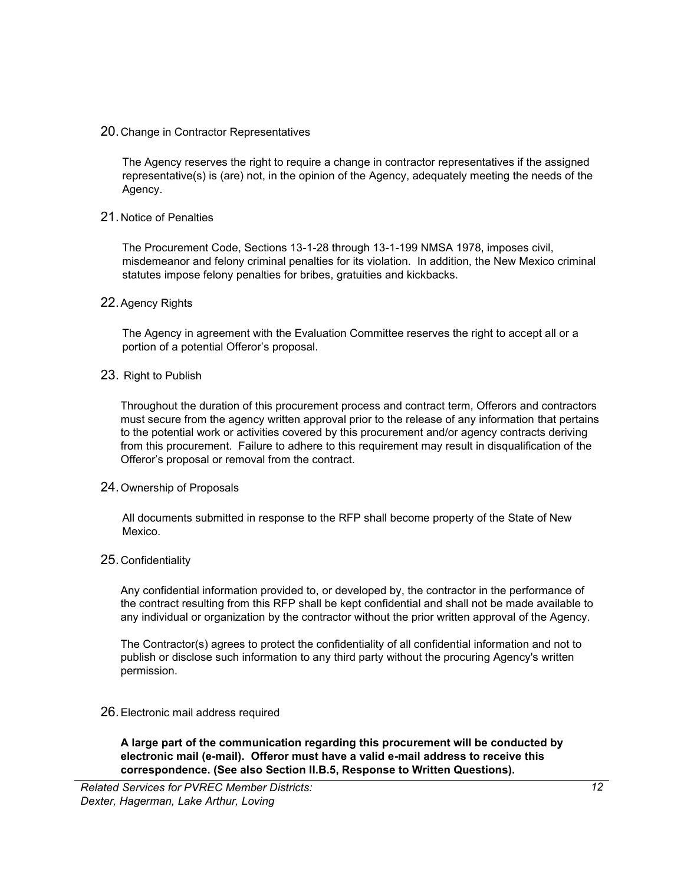### <span id="page-15-0"></span>20.Change in Contractor Representatives

The Agency reserves the right to require a change in contractor representatives if the assigned representative(s) is (are) not, in the opinion of the Agency, adequately meeting the needs of the Agency.

### <span id="page-15-1"></span>21.Notice of Penalties

The Procurement Code, Sections 13-1-28 through 13-1-199 NMSA 1978, imposes civil, misdemeanor and felony criminal penalties for its violation. In addition, the New Mexico criminal statutes impose felony penalties for bribes, gratuities and kickbacks.

### <span id="page-15-2"></span>22.Agency Rights

The Agency in agreement with the Evaluation Committee reserves the right to accept all or a portion of a potential Offeror's proposal.

### <span id="page-15-3"></span>23. Right to Publish

Throughout the duration of this procurement process and contract term, Offerors and contractors must secure from the agency written approval prior to the release of any information that pertains to the potential work or activities covered by this procurement and/or agency contracts deriving from this procurement. Failure to adhere to this requirement may result in disqualification of the Offeror's proposal or removal from the contract.

### <span id="page-15-4"></span>24.Ownership of Proposals

All documents submitted in response to the RFP shall become property of the State of New Mexico.

### <span id="page-15-5"></span>25.Confidentiality

Any confidential information provided to, or developed by, the contractor in the performance of the contract resulting from this RFP shall be kept confidential and shall not be made available to any individual or organization by the contractor without the prior written approval of the Agency.

The Contractor(s) agrees to protect the confidentiality of all confidential information and not to publish or disclose such information to any third party without the procuring Agency's written permission.

### <span id="page-15-6"></span>26.Electronic mail address required

**A large part of the communication regarding this procurement will be conducted by electronic mail (e-mail). Offeror must have a valid e-mail address to receive this correspondence. (See also Section II.B.5, Response to Written Questions).**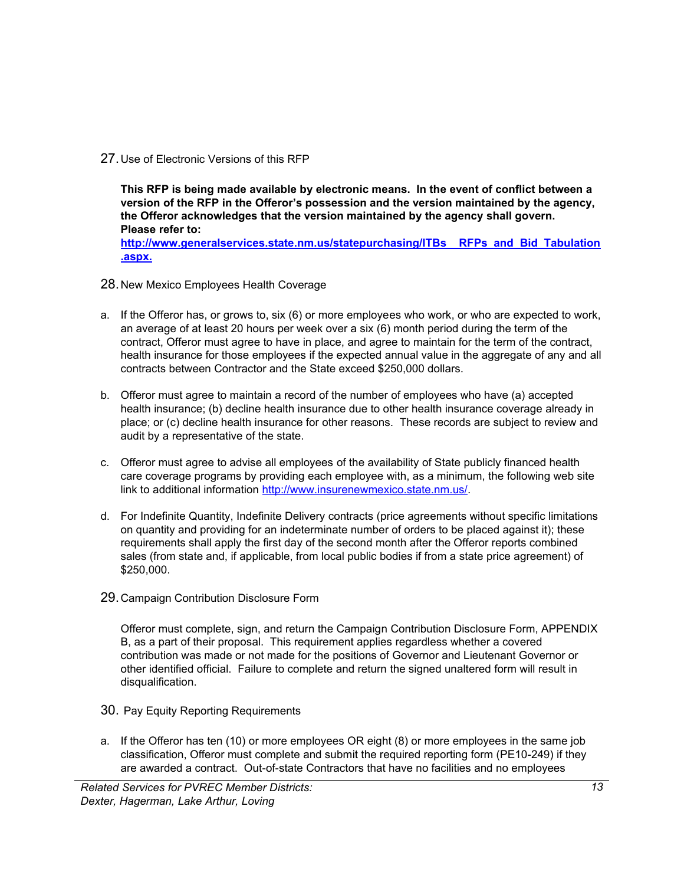<span id="page-16-0"></span>27.Use of Electronic Versions of this RFP

**This RFP is being made available by electronic means. In the event of conflict between a version of the RFP in the Offeror's possession and the version maintained by the agency, the Offeror acknowledges that the version maintained by the agency shall govern. Please refer to: [http://www.generalservices.state.nm.us/statepurchasing/ITBs\\_\\_RFPs\\_and\\_Bid\\_Tabulation](http://www.generalservices.state.nm.us/statepurchasing/ITBs__RFPs_and_Bid_Tabulation.aspx) [.aspx.](http://www.generalservices.state.nm.us/statepurchasing/ITBs__RFPs_and_Bid_Tabulation.aspx)**

- <span id="page-16-1"></span>28.New Mexico Employees Health Coverage
- a. If the Offeror has, or grows to, six (6) or more employees who work, or who are expected to work, an average of at least 20 hours per week over a six (6) month period during the term of the contract, Offeror must agree to have in place, and agree to maintain for the term of the contract, health insurance for those employees if the expected annual value in the aggregate of any and all contracts between Contractor and the State exceed \$250,000 dollars.
- b. Offeror must agree to maintain a record of the number of employees who have (a) accepted health insurance; (b) decline health insurance due to other health insurance coverage already in place; or (c) decline health insurance for other reasons. These records are subject to review and audit by a representative of the state.
- c. Offeror must agree to advise all employees of the availability of State publicly financed health care coverage programs by providing each employee with, as a minimum, the following web site link to additional information [http://www.insurenewmexico.state.nm.us/.](http://www.insurenewmexico.state.nm.us/)
- d. For Indefinite Quantity, Indefinite Delivery contracts (price agreements without specific limitations on quantity and providing for an indeterminate number of orders to be placed against it); these requirements shall apply the first day of the second month after the Offeror reports combined sales (from state and, if applicable, from local public bodies if from a state price agreement) of \$250,000.
- <span id="page-16-2"></span>29.Campaign Contribution Disclosure Form

Offeror must complete, sign, and return the Campaign Contribution Disclosure Form, APPENDIX B, as a part of their proposal. This requirement applies regardless whether a covered contribution was made or not made for the positions of Governor and Lieutenant Governor or other identified official. Failure to complete and return the signed unaltered form will result in disqualification.

- <span id="page-16-3"></span>30. Pay Equity Reporting Requirements
- a. If the Offeror has ten (10) or more employees OR eight (8) or more employees in the same job classification, Offeror must complete and submit the required reporting form (PE10-249) if they are awarded a contract. Out-of-state Contractors that have no facilities and no employees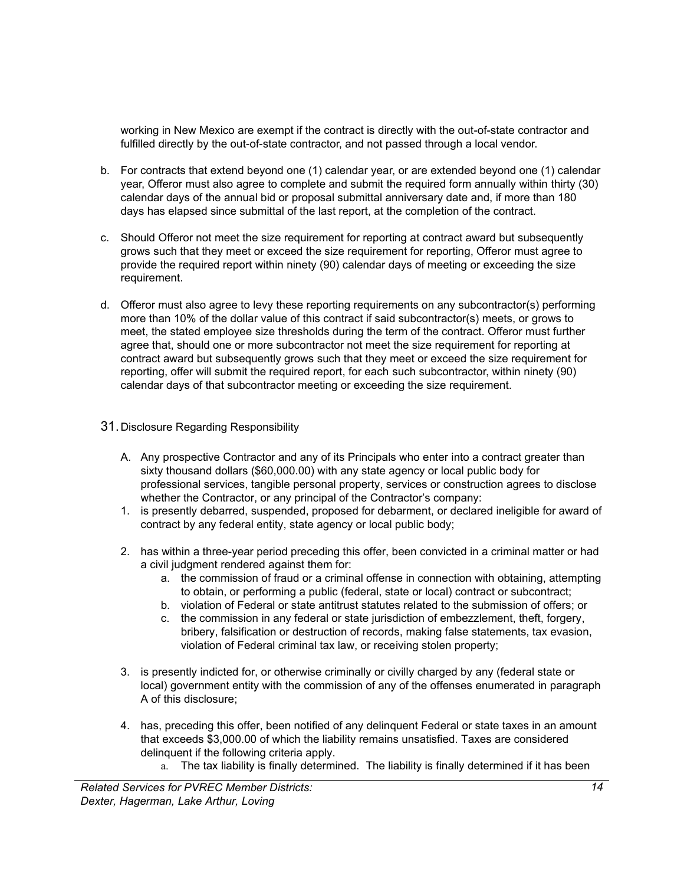working in New Mexico are exempt if the contract is directly with the out-of-state contractor and fulfilled directly by the out-of-state contractor, and not passed through a local vendor.

- b. For contracts that extend beyond one (1) calendar year, or are extended beyond one (1) calendar year, Offeror must also agree to complete and submit the required form annually within thirty (30) calendar days of the annual bid or proposal submittal anniversary date and, if more than 180 days has elapsed since submittal of the last report, at the completion of the contract.
- c. Should Offeror not meet the size requirement for reporting at contract award but subsequently grows such that they meet or exceed the size requirement for reporting, Offeror must agree to provide the required report within ninety (90) calendar days of meeting or exceeding the size requirement.
- d. Offeror must also agree to levy these reporting requirements on any subcontractor(s) performing more than 10% of the dollar value of this contract if said subcontractor(s) meets, or grows to meet, the stated employee size thresholds during the term of the contract. Offeror must further agree that, should one or more subcontractor not meet the size requirement for reporting at contract award but subsequently grows such that they meet or exceed the size requirement for reporting, offer will submit the required report, for each such subcontractor, within ninety (90) calendar days of that subcontractor meeting or exceeding the size requirement.

### <span id="page-17-0"></span>31.Disclosure Regarding Responsibility

- A. Any prospective Contractor and any of its Principals who enter into a contract greater than sixty thousand dollars (\$60,000.00) with any state agency or local public body for professional services, tangible personal property, services or construction agrees to disclose whether the Contractor, or any principal of the Contractor's company:
- 1. is presently debarred, suspended, proposed for debarment, or declared ineligible for award of contract by any federal entity, state agency or local public body;
- 2. has within a three-year period preceding this offer, been convicted in a criminal matter or had a civil judgment rendered against them for:
	- a. the commission of fraud or a criminal offense in connection with obtaining, attempting to obtain, or performing a public (federal, state or local) contract or subcontract;
	- b. violation of Federal or state antitrust statutes related to the submission of offers; or
	- c. the commission in any federal or state jurisdiction of embezzlement, theft, forgery, bribery, falsification or destruction of records, making false statements, tax evasion, violation of Federal criminal tax law, or receiving stolen property;
- 3. is presently indicted for, or otherwise criminally or civilly charged by any (federal state or local) government entity with the commission of any of the offenses enumerated in paragraph A of this disclosure;
- 4. has, preceding this offer, been notified of any delinquent Federal or state taxes in an amount that exceeds \$3,000.00 of which the liability remains unsatisfied. Taxes are considered delinquent if the following criteria apply.
	- a. The tax liability is finally determined. The liability is finally determined if it has been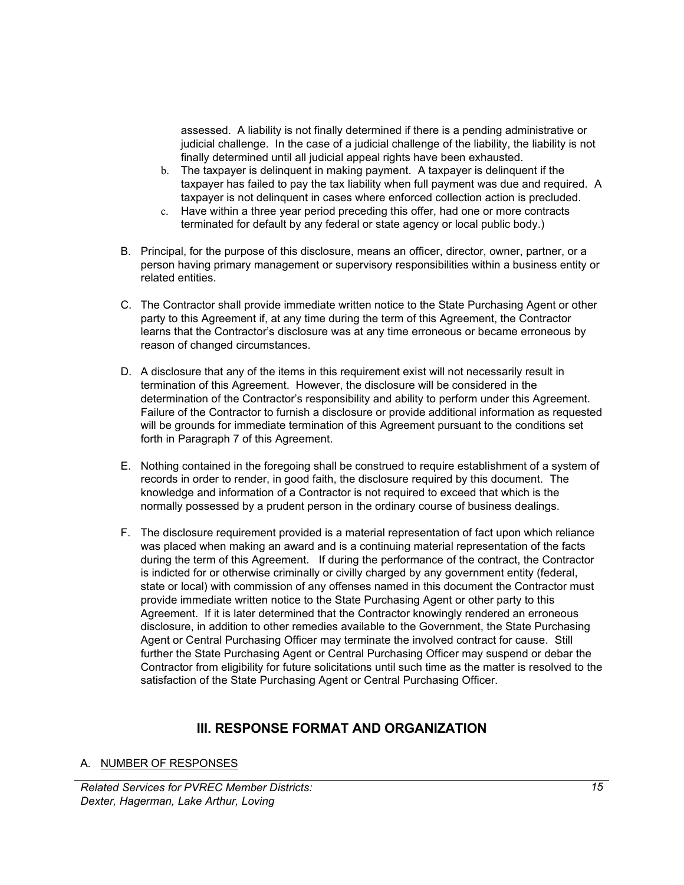assessed. A liability is not finally determined if there is a pending administrative or judicial challenge. In the case of a judicial challenge of the liability, the liability is not finally determined until all judicial appeal rights have been exhausted.

- b. The taxpayer is delinquent in making payment. A taxpayer is delinquent if the taxpayer has failed to pay the tax liability when full payment was due and required. A taxpayer is not delinquent in cases where enforced collection action is precluded.
- c. Have within a three year period preceding this offer, had one or more contracts terminated for default by any federal or state agency or local public body.)
- B. Principal, for the purpose of this disclosure, means an officer, director, owner, partner, or a person having primary management or supervisory responsibilities within a business entity or related entities.
- C. The Contractor shall provide immediate written notice to the State Purchasing Agent or other party to this Agreement if, at any time during the term of this Agreement, the Contractor learns that the Contractor's disclosure was at any time erroneous or became erroneous by reason of changed circumstances.
- D. A disclosure that any of the items in this requirement exist will not necessarily result in termination of this Agreement. However, the disclosure will be considered in the determination of the Contractor's responsibility and ability to perform under this Agreement. Failure of the Contractor to furnish a disclosure or provide additional information as requested will be grounds for immediate termination of this Agreement pursuant to the conditions set forth in Paragraph 7 of this Agreement.
- E. Nothing contained in the foregoing shall be construed to require establishment of a system of records in order to render, in good faith, the disclosure required by this document. The knowledge and information of a Contractor is not required to exceed that which is the normally possessed by a prudent person in the ordinary course of business dealings.
- F. The disclosure requirement provided is a material representation of fact upon which reliance was placed when making an award and is a continuing material representation of the facts during the term of this Agreement. If during the performance of the contract, the Contractor is indicted for or otherwise criminally or civilly charged by any government entity (federal, state or local) with commission of any offenses named in this document the Contractor must provide immediate written notice to the State Purchasing Agent or other party to this Agreement. If it is later determined that the Contractor knowingly rendered an erroneous disclosure, in addition to other remedies available to the Government, the State Purchasing Agent or Central Purchasing Officer may terminate the involved contract for cause. Still further the State Purchasing Agent or Central Purchasing Officer may suspend or debar the Contractor from eligibility for future solicitations until such time as the matter is resolved to the satisfaction of the State Purchasing Agent or Central Purchasing Officer.

### **III. RESPONSE FORMAT AND ORGANIZATION**

A. NUMBER OF RESPONSES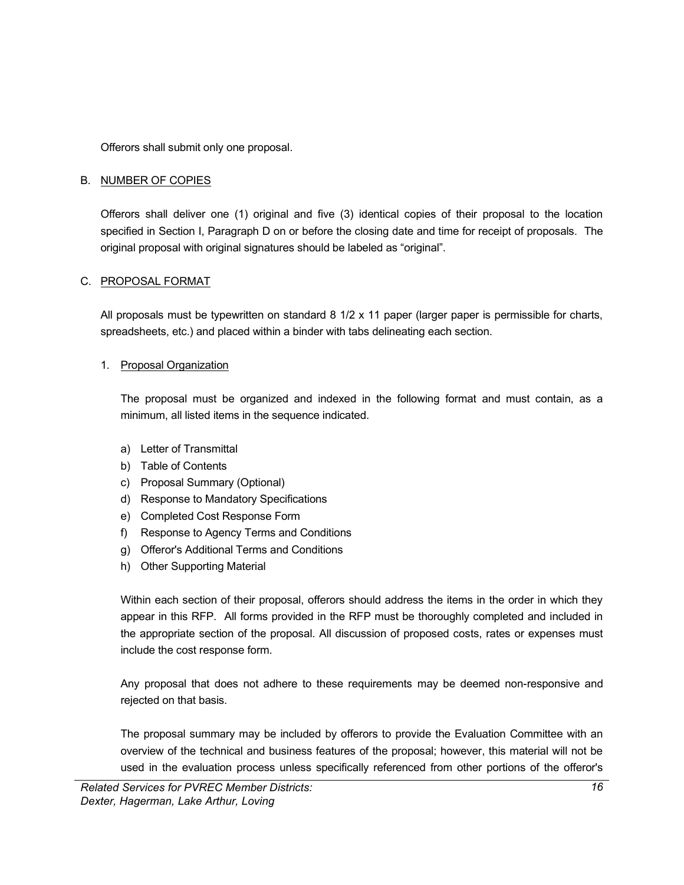Offerors shall submit only one proposal.

### B. NUMBER OF COPIES

Offerors shall deliver one (1) original and five (3) identical copies of their proposal to the location specified in Section I, Paragraph D on or before the closing date and time for receipt of proposals. The original proposal with original signatures should be labeled as "original".

### C. PROPOSAL FORMAT

All proposals must be typewritten on standard 8 1/2 x 11 paper (larger paper is permissible for charts, spreadsheets, etc.) and placed within a binder with tabs delineating each section.

### 1. Proposal Organization

The proposal must be organized and indexed in the following format and must contain, as a minimum, all listed items in the sequence indicated.

- a) Letter of Transmittal
- b) Table of Contents
- c) Proposal Summary (Optional)
- d) Response to Mandatory Specifications
- e) Completed Cost Response Form
- f) Response to Agency Terms and Conditions
- g) Offeror's Additional Terms and Conditions
- h) Other Supporting Material

Within each section of their proposal, offerors should address the items in the order in which they appear in this RFP. All forms provided in the RFP must be thoroughly completed and included in the appropriate section of the proposal. All discussion of proposed costs, rates or expenses must include the cost response form.

Any proposal that does not adhere to these requirements may be deemed non-responsive and rejected on that basis.

The proposal summary may be included by offerors to provide the Evaluation Committee with an overview of the technical and business features of the proposal; however, this material will not be used in the evaluation process unless specifically referenced from other portions of the offeror's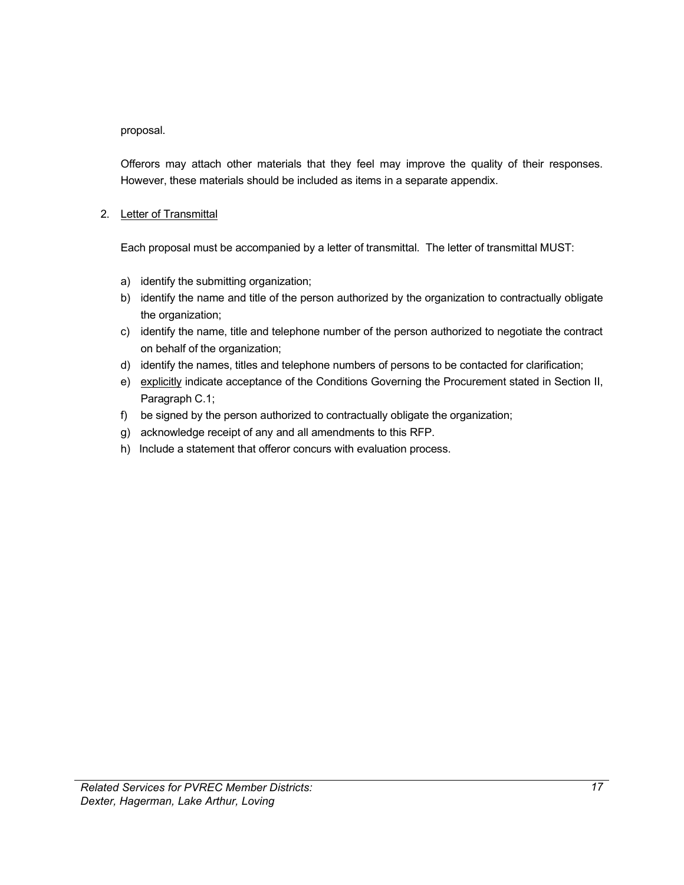proposal.

Offerors may attach other materials that they feel may improve the quality of their responses. However, these materials should be included as items in a separate appendix.

### 2. Letter of Transmittal

Each proposal must be accompanied by a letter of transmittal. The letter of transmittal MUST:

- a) identify the submitting organization;
- b) identify the name and title of the person authorized by the organization to contractually obligate the organization;
- c) identify the name, title and telephone number of the person authorized to negotiate the contract on behalf of the organization;
- d) identify the names, titles and telephone numbers of persons to be contacted for clarification;
- e) explicitly indicate acceptance of the Conditions Governing the Procurement stated in Section II, Paragraph C.1;
- f) be signed by the person authorized to contractually obligate the organization;
- g) acknowledge receipt of any and all amendments to this RFP.
- h) Include a statement that offeror concurs with evaluation process.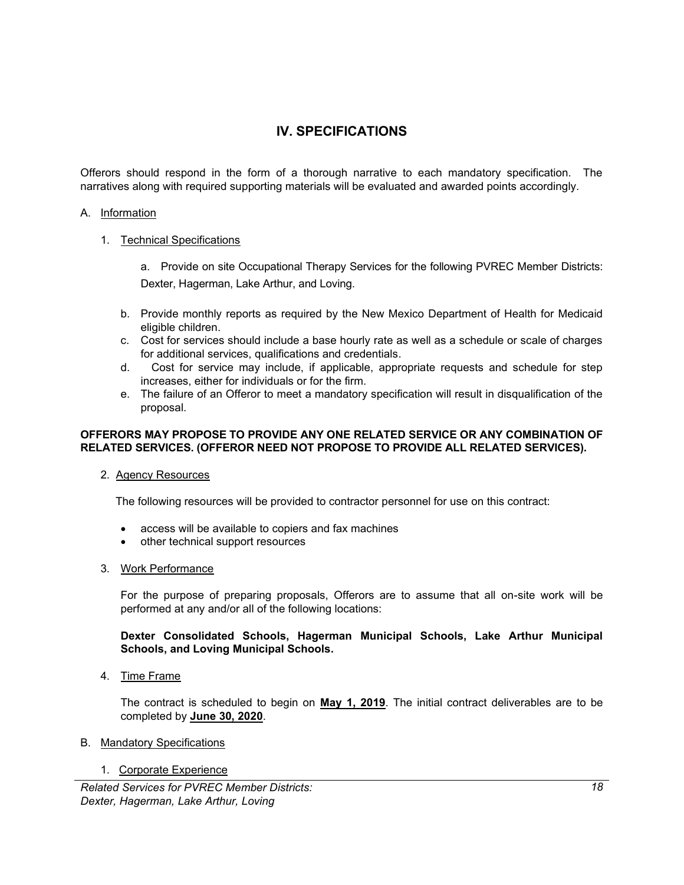### **IV. SPECIFICATIONS**

Offerors should respond in the form of a thorough narrative to each mandatory specification. The narratives along with required supporting materials will be evaluated and awarded points accordingly.

### A. Information

### 1. Technical Specifications

a. Provide on site Occupational Therapy Services for the following PVREC Member Districts: Dexter, Hagerman, Lake Arthur, and Loving.

- b. Provide monthly reports as required by the New Mexico Department of Health for Medicaid eligible children.
- c. Cost for services should include a base hourly rate as well as a schedule or scale of charges for additional services, qualifications and credentials.
- d. Cost for service may include, if applicable, appropriate requests and schedule for step increases, either for individuals or for the firm.
- e. The failure of an Offeror to meet a mandatory specification will result in disqualification of the proposal.

### **OFFERORS MAY PROPOSE TO PROVIDE ANY ONE RELATED SERVICE OR ANY COMBINATION OF RELATED SERVICES. (OFFEROR NEED NOT PROPOSE TO PROVIDE ALL RELATED SERVICES).**

#### 2. Agency Resources

The following resources will be provided to contractor personnel for use on this contract:

- access will be available to copiers and fax machines
- other technical support resources

### 3. Work Performance

For the purpose of preparing proposals, Offerors are to assume that all on-site work will be performed at any and/or all of the following locations:

### **Dexter Consolidated Schools, Hagerman Municipal Schools, Lake Arthur Municipal Schools, and Loving Municipal Schools.**

4. Time Frame

The contract is scheduled to begin on **May 1, 2019**. The initial contract deliverables are to be completed by **June 30, 2020**.

#### B. Mandatory Specifications

#### 1. Corporate Experience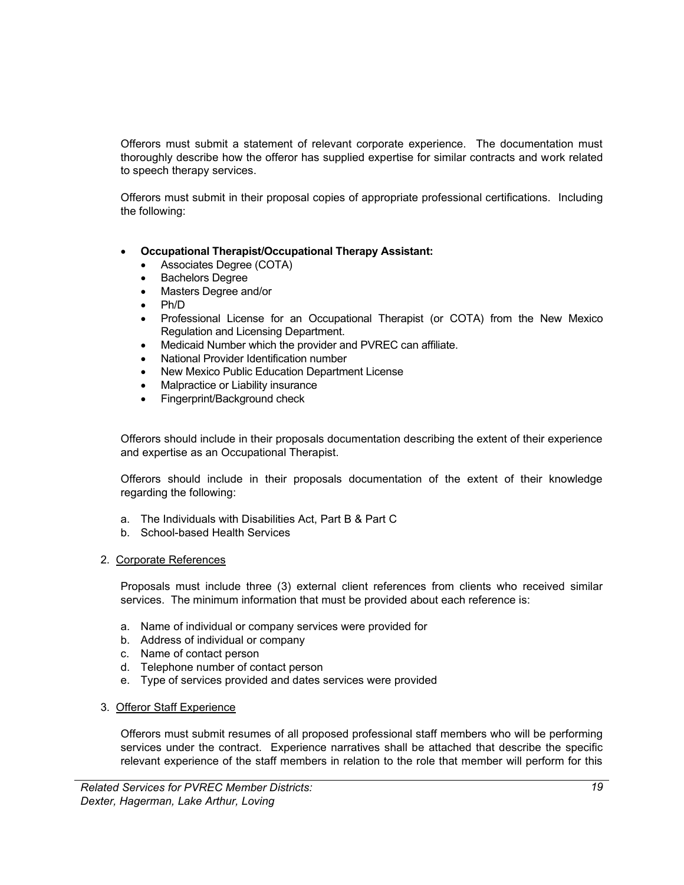Offerors must submit a statement of relevant corporate experience. The documentation must thoroughly describe how the offeror has supplied expertise for similar contracts and work related to speech therapy services.

Offerors must submit in their proposal copies of appropriate professional certifications. Including the following:

- **Occupational Therapist/Occupational Therapy Assistant:**
	- Associates Degree (COTA)
	- **Bachelors Degree**
	- Masters Degree and/or
	- Ph/D
	- Professional License for an Occupational Therapist (or COTA) from the New Mexico Regulation and Licensing Department.
	- Medicaid Number which the provider and PVREC can affiliate.
	- National Provider Identification number
	- New Mexico Public Education Department License
	- Malpractice or Liability insurance
	- Fingerprint/Background check

Offerors should include in their proposals documentation describing the extent of their experience and expertise as an Occupational Therapist.

Offerors should include in their proposals documentation of the extent of their knowledge regarding the following:

- a. The Individuals with Disabilities Act, Part B & Part C
- b. School-based Health Services

### 2. Corporate References

Proposals must include three (3) external client references from clients who received similar services. The minimum information that must be provided about each reference is:

- a. Name of individual or company services were provided for
- b. Address of individual or company
- c. Name of contact person
- d. Telephone number of contact person
- e. Type of services provided and dates services were provided

### 3. Offeror Staff Experience

Offerors must submit resumes of all proposed professional staff members who will be performing services under the contract. Experience narratives shall be attached that describe the specific relevant experience of the staff members in relation to the role that member will perform for this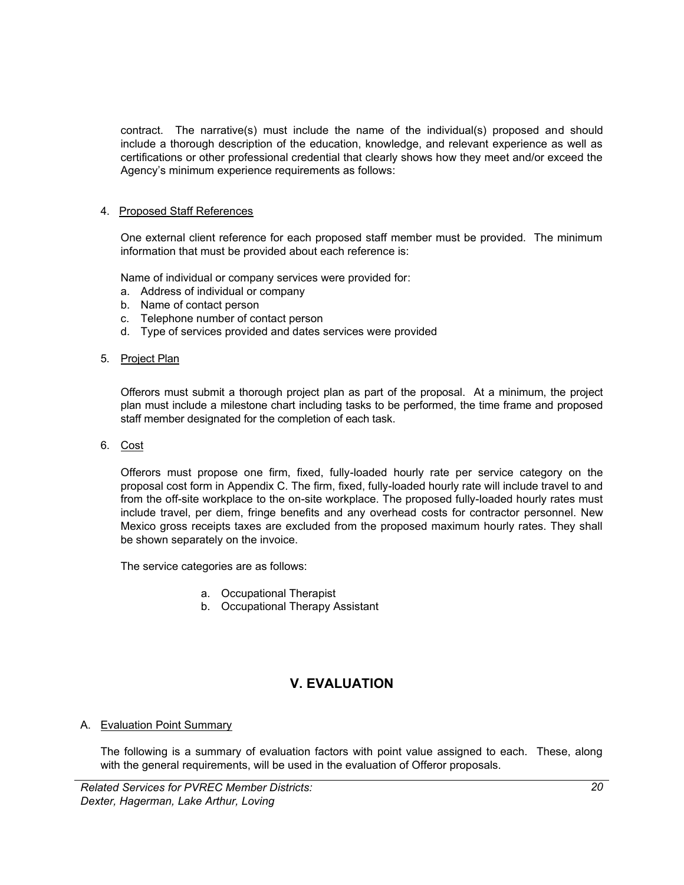contract. The narrative(s) must include the name of the individual(s) proposed and should include a thorough description of the education, knowledge, and relevant experience as well as certifications or other professional credential that clearly shows how they meet and/or exceed the Agency's minimum experience requirements as follows:

### 4. Proposed Staff References

One external client reference for each proposed staff member must be provided. The minimum information that must be provided about each reference is:

Name of individual or company services were provided for:

- a. Address of individual or company
- b. Name of contact person
- c. Telephone number of contact person
- d. Type of services provided and dates services were provided
- 5. Project Plan

Offerors must submit a thorough project plan as part of the proposal. At a minimum, the project plan must include a milestone chart including tasks to be performed, the time frame and proposed staff member designated for the completion of each task.

6. Cost

Offerors must propose one firm, fixed, fully-loaded hourly rate per service category on the proposal cost form in Appendix C. The firm, fixed, fully-loaded hourly rate will include travel to and from the off-site workplace to the on-site workplace. The proposed fully-loaded hourly rates must include travel, per diem, fringe benefits and any overhead costs for contractor personnel. New Mexico gross receipts taxes are excluded from the proposed maximum hourly rates. They shall be shown separately on the invoice.

The service categories are as follows:

- a. Occupational Therapist
- b. Occupational Therapy Assistant

### **V. EVALUATION**

### A. Evaluation Point Summary

The following is a summary of evaluation factors with point value assigned to each. These, along with the general requirements, will be used in the evaluation of Offeror proposals.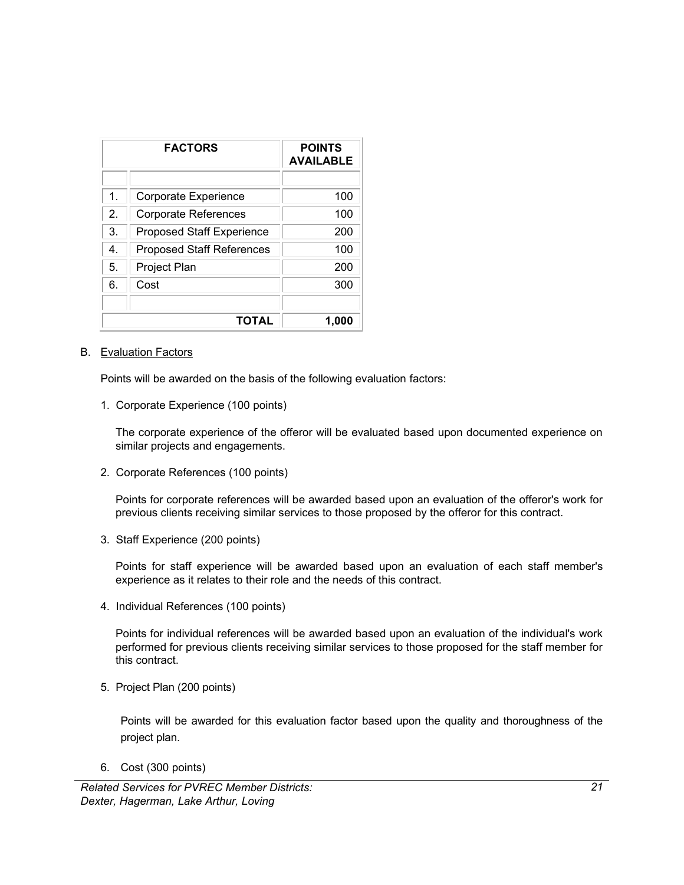| <b>FACTORS</b> |                                  | <b>POINTS</b><br><b>AVAILABLE</b> |
|----------------|----------------------------------|-----------------------------------|
|                |                                  |                                   |
| $\mathbf{1}$ . | Corporate Experience             | 100                               |
| 2.             | Corporate References             | 100                               |
| 3.             | <b>Proposed Staff Experience</b> | 200                               |
| 4 <sup>1</sup> | <b>Proposed Staff References</b> | 100                               |
| 5.             | Project Plan                     | 200                               |
| 6.             | Cost                             | 300                               |
|                |                                  |                                   |
|                | TOTAL                            | 1.000                             |

#### B. Evaluation Factors

Points will be awarded on the basis of the following evaluation factors:

1. Corporate Experience (100 points)

The corporate experience of the offeror will be evaluated based upon documented experience on similar projects and engagements.

2. Corporate References (100 points)

Points for corporate references will be awarded based upon an evaluation of the offeror's work for previous clients receiving similar services to those proposed by the offeror for this contract.

3. Staff Experience (200 points)

Points for staff experience will be awarded based upon an evaluation of each staff member's experience as it relates to their role and the needs of this contract.

4. Individual References (100 points)

Points for individual references will be awarded based upon an evaluation of the individual's work performed for previous clients receiving similar services to those proposed for the staff member for this contract.

5. Project Plan (200 points)

Points will be awarded for this evaluation factor based upon the quality and thoroughness of the project plan.

6. Cost (300 points)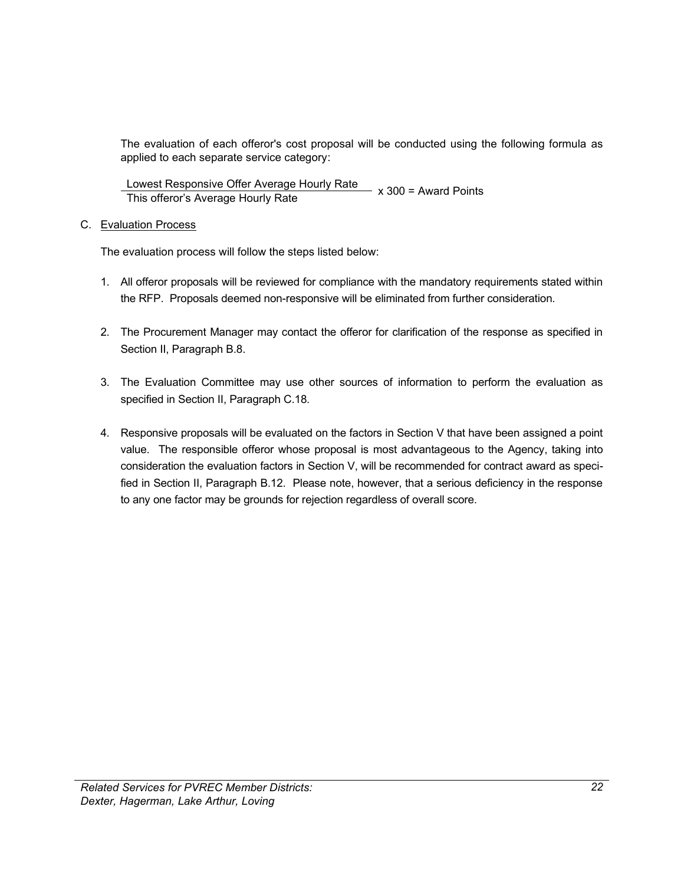The evaluation of each offeror's cost proposal will be conducted using the following formula as applied to each separate service category:

Lowest Responsive Offer Average Hourly Rate \_\_\_\_ x 300 = Award Points<br>This offeror's Average Hourly Rate

### C. Evaluation Process

The evaluation process will follow the steps listed below:

- 1. All offeror proposals will be reviewed for compliance with the mandatory requirements stated within the RFP. Proposals deemed non-responsive will be eliminated from further consideration.
- 2. The Procurement Manager may contact the offeror for clarification of the response as specified in Section II, Paragraph B.8.
- 3. The Evaluation Committee may use other sources of information to perform the evaluation as specified in Section II, Paragraph C.18.
- 4. Responsive proposals will be evaluated on the factors in Section V that have been assigned a point value. The responsible offeror whose proposal is most advantageous to the Agency, taking into consideration the evaluation factors in Section V, will be recommended for contract award as specified in Section II, Paragraph B.12. Please note, however, that a serious deficiency in the response to any one factor may be grounds for rejection regardless of overall score.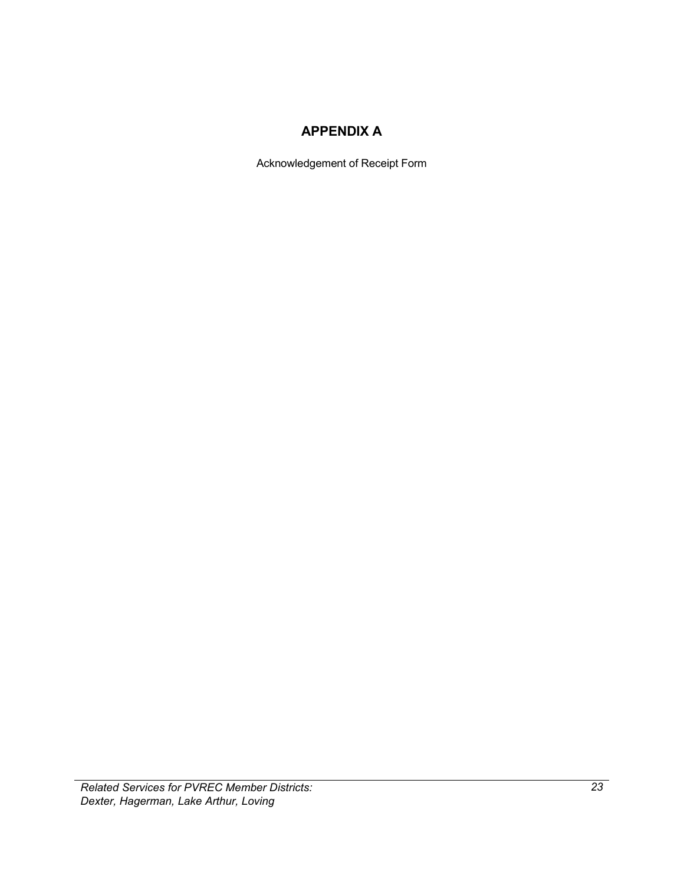### **APPENDIX A**

Acknowledgement of Receipt Form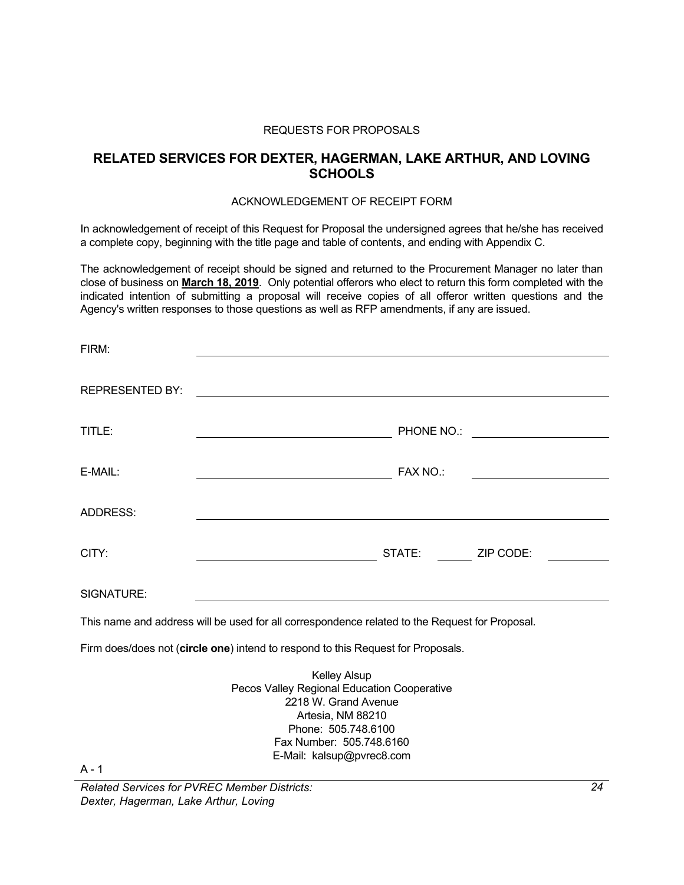#### REQUESTS FOR PROPOSALS

### **RELATED SERVICES FOR DEXTER, HAGERMAN, LAKE ARTHUR, AND LOVING SCHOOLS**

### ACKNOWLEDGEMENT OF RECEIPT FORM

In acknowledgement of receipt of this Request for Proposal the undersigned agrees that he/she has received a complete copy, beginning with the title page and table of contents, and ending with Appendix C.

The acknowledgement of receipt should be signed and returned to the Procurement Manager no later than close of business on **March 18, 2019**. Only potential offerors who elect to return this form completed with the indicated intention of submitting a proposal will receive copies of all offeror written questions and the Agency's written responses to those questions as well as RFP amendments, if any are issued.

| FIRM:                  |                                                                                                                                                                                                 |
|------------------------|-------------------------------------------------------------------------------------------------------------------------------------------------------------------------------------------------|
| <b>REPRESENTED BY:</b> | <u> 1989 - Johann John Stein, markin film yn y brenin y brenin y brenin y brenin y brenin y brenin y brenin y br</u>                                                                            |
| TITLE:                 |                                                                                                                                                                                                 |
| E-MAIL:                | FAX NO.:                                                                                                                                                                                        |
| <b>ADDRESS:</b>        |                                                                                                                                                                                                 |
| CITY:                  | STATE: ZIP CODE:                                                                                                                                                                                |
| SIGNATURE:             |                                                                                                                                                                                                 |
|                        | This name and address will be used for all correspondence related to the Request for Proposal.                                                                                                  |
|                        | Firm does/does not (circle one) intend to respond to this Request for Proposals.                                                                                                                |
|                        | <b>Kelley Alsup</b><br>Pecos Valley Regional Education Cooperative<br>2218 W. Grand Avenue<br>Artesia, NM 88210<br>Phone: 505.748.6100<br>Fax Number: 505.748.6160<br>E-Mail: kalsup@pvrec8.com |

 $A - 1$ 

*Related Services for PVREC Member Districts: Dexter, Hagerman, Lake Arthur, Loving*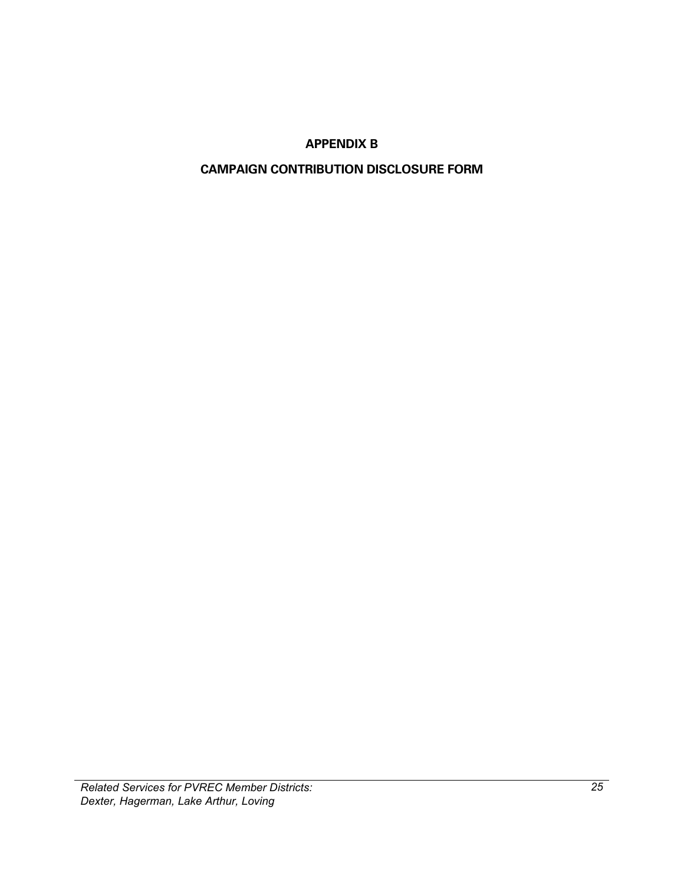### **APPENDIX B**

### <span id="page-28-1"></span><span id="page-28-0"></span>**CAMPAIGN CONTRIBUTION DISCLOSURE FORM**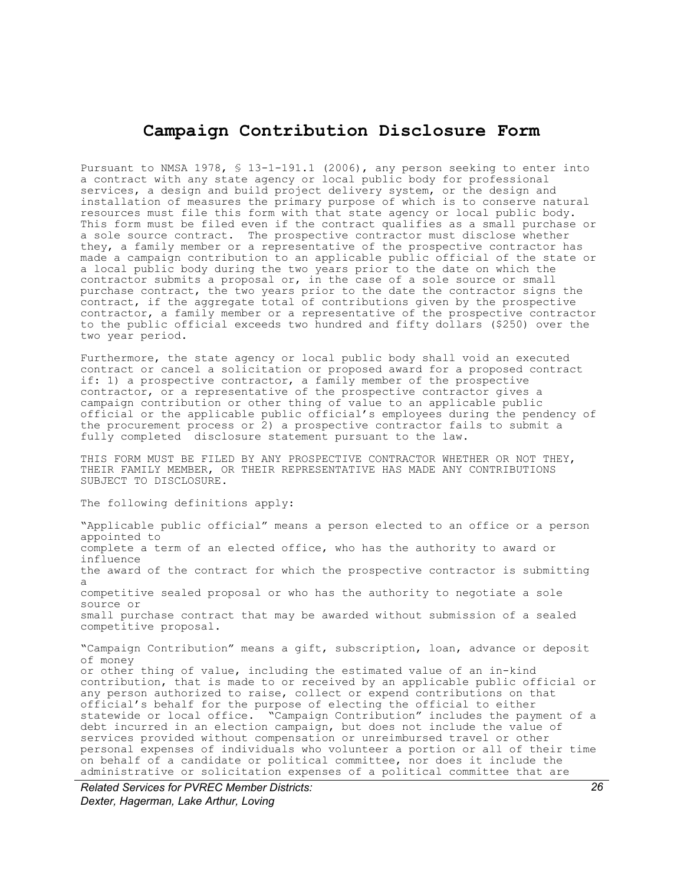### **Campaign Contribution Disclosure Form**

Pursuant to NMSA 1978, § 13-1-191.1 (2006), any person seeking to enter into a contract with any state agency or local public body for professional services, a design and build project delivery system, or the design and installation of measures the primary purpose of which is to conserve natural resources must file this form with that state agency or local public body. This form must be filed even if the contract qualifies as a small purchase or a sole source contract. The prospective contractor must disclose whether they, a family member or a representative of the prospective contractor has made a campaign contribution to an applicable public official of the state or a local public body during the two years prior to the date on which the contractor submits a proposal or, in the case of a sole source or small purchase contract, the two years prior to the date the contractor signs the contract, if the aggregate total of contributions given by the prospective contractor, a family member or a representative of the prospective contractor to the public official exceeds two hundred and fifty dollars (\$250) over the two year period.

Furthermore, the state agency or local public body shall void an executed contract or cancel a solicitation or proposed award for a proposed contract if: 1) a prospective contractor, a family member of the prospective contractor, or a representative of the prospective contractor gives a campaign contribution or other thing of value to an applicable public official or the applicable public official's employees during the pendency of the procurement process or 2) a prospective contractor fails to submit a fully completed disclosure statement pursuant to the law.

THIS FORM MUST BE FILED BY ANY PROSPECTIVE CONTRACTOR WHETHER OR NOT THEY, THEIR FAMILY MEMBER, OR THEIR REPRESENTATIVE HAS MADE ANY CONTRIBUTIONS SUBJECT TO DISCLOSURE.

The following definitions apply:

"Applicable public official" means a person elected to an office or a person appointed to complete a term of an elected office, who has the authority to award or influence the award of the contract for which the prospective contractor is submitting a competitive sealed proposal or who has the authority to negotiate a sole source or small purchase contract that may be awarded without submission of a sealed competitive proposal.

"Campaign Contribution" means a gift, subscription, loan, advance or deposit of money or other thing of value, including the estimated value of an in-kind contribution, that is made to or received by an applicable public official or any person authorized to raise, collect or expend contributions on that official's behalf for the purpose of electing the official to either statewide or local office. "Campaign Contribution" includes the payment of a debt incurred in an election campaign, but does not include the value of services provided without compensation or unreimbursed travel or other personal expenses of individuals who volunteer a portion or all of their time on behalf of a candidate or political committee, nor does it include the administrative or solicitation expenses of a political committee that are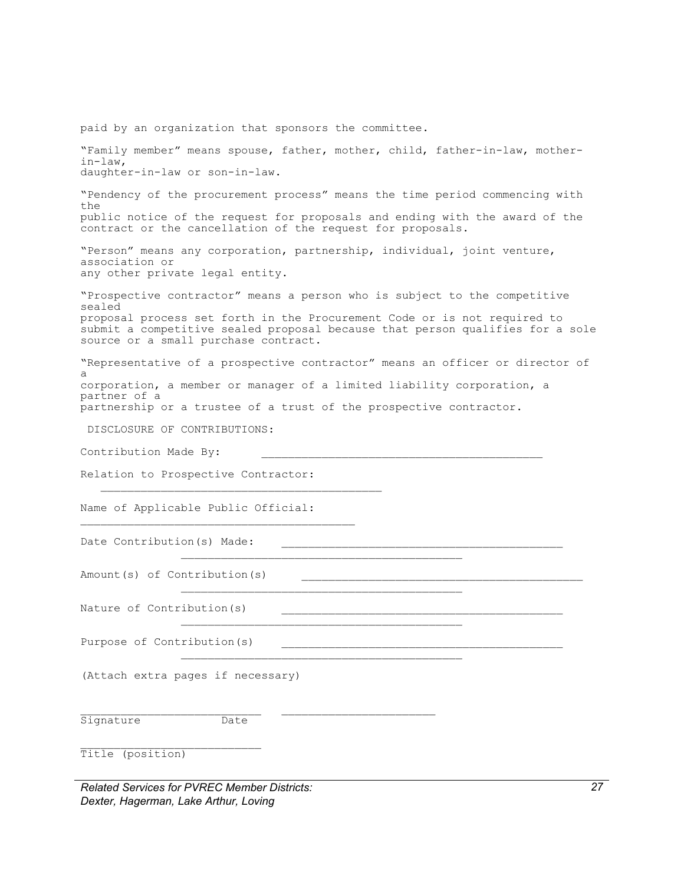paid by an organization that sponsors the committee. "Family member" means spouse, father, mother, child, father-in-law, motherin-law, daughter-in-law or son-in-law. "Pendency of the procurement process" means the time period commencing with the public notice of the request for proposals and ending with the award of the contract or the cancellation of the request for proposals. "Person" means any corporation, partnership, individual, joint venture, association or any other private legal entity. "Prospective contractor" means a person who is subject to the competitive sealed proposal process set forth in the Procurement Code or is not required to submit a competitive sealed proposal because that person qualifies for a sole source or a small purchase contract. "Representative of a prospective contractor" means an officer or director of a corporation, a member or manager of a limited liability corporation, a partner of a partnership or a trustee of a trust of the prospective contractor. DISCLOSURE OF CONTRIBUTIONS: Contribution Made By: Relation to Prospective Contractor:  $\mathcal{L}_\text{max} = \frac{1}{2} \sum_{i=1}^n \mathcal{L}_i \mathcal{L}_i + \mathcal{L}_i \mathcal{L}_i + \mathcal{L}_i \mathcal{L}_i + \mathcal{L}_i \mathcal{L}_i + \mathcal{L}_i \mathcal{L}_i + \mathcal{L}_i \mathcal{L}_i + \mathcal{L}_i \mathcal{L}_i + \mathcal{L}_i \mathcal{L}_i + \mathcal{L}_i \mathcal{L}_i + \mathcal{L}_i \mathcal{L}_i + \mathcal{L}_i \mathcal{L}_i + \mathcal{L}_i \mathcal{L}_i + \mathcal{L}_i \mathcal{L$ Name of Applicable Public Official:  $\mathcal{L}_\text{max} = \frac{1}{2} \sum_{i=1}^{N} \mathcal{L}_i \mathcal{L}_i + \mathcal{L}_i \mathcal{L}_i + \mathcal{L}_i \mathcal{L}_i + \mathcal{L}_i \mathcal{L}_i + \mathcal{L}_i \mathcal{L}_i + \mathcal{L}_i \mathcal{L}_i + \mathcal{L}_i \mathcal{L}_i + \mathcal{L}_i \mathcal{L}_i + \mathcal{L}_i \mathcal{L}_i + \mathcal{L}_i \mathcal{L}_i + \mathcal{L}_i \mathcal{L}_i + \mathcal{L}_i \mathcal{L}_i + \mathcal{L}_i \mathcal{$ Date Contribution(s) Made: \_\_\_\_\_\_\_\_\_\_\_\_\_\_\_\_\_\_\_\_\_\_\_\_\_\_\_\_\_\_\_\_\_\_\_\_\_\_\_\_\_\_ Amount(s) of Contribution(s) \_\_\_\_\_\_\_\_\_\_\_\_\_\_\_\_\_\_\_\_\_\_\_\_\_\_\_\_\_\_\_\_\_\_\_\_\_\_\_\_\_\_ Nature of Contribution(s) \_\_\_\_\_\_\_\_\_\_\_\_\_\_\_\_\_\_\_\_\_\_\_\_\_\_\_\_\_\_\_\_\_\_\_\_\_\_\_\_\_\_ Purpose of Contribution(s) \_\_\_\_\_\_\_\_\_\_\_\_\_\_\_\_\_\_\_\_\_\_\_\_\_\_\_\_\_\_\_\_\_\_\_\_\_\_\_\_\_\_ (Attach extra pages if necessary) Signature Date Title (position)

*Related Services for PVREC Member Districts: Dexter, Hagerman, Lake Arthur, Loving*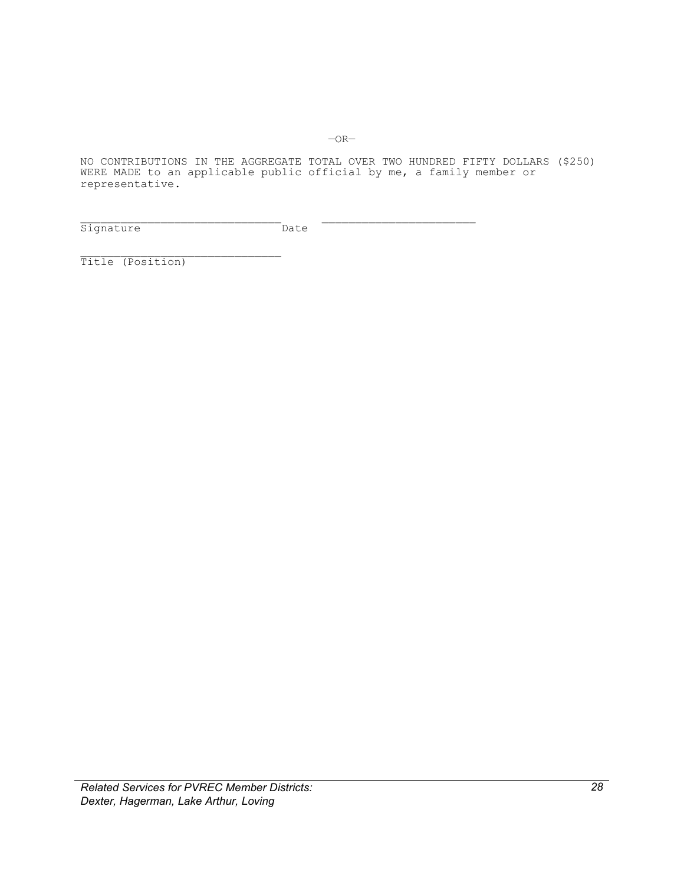NO CONTRIBUTIONS IN THE AGGREGATE TOTAL OVER TWO HUNDRED FIFTY DOLLARS (\$250) WERE MADE to an applicable public official by me, a family member or representative.

Signature Date

Title (Position)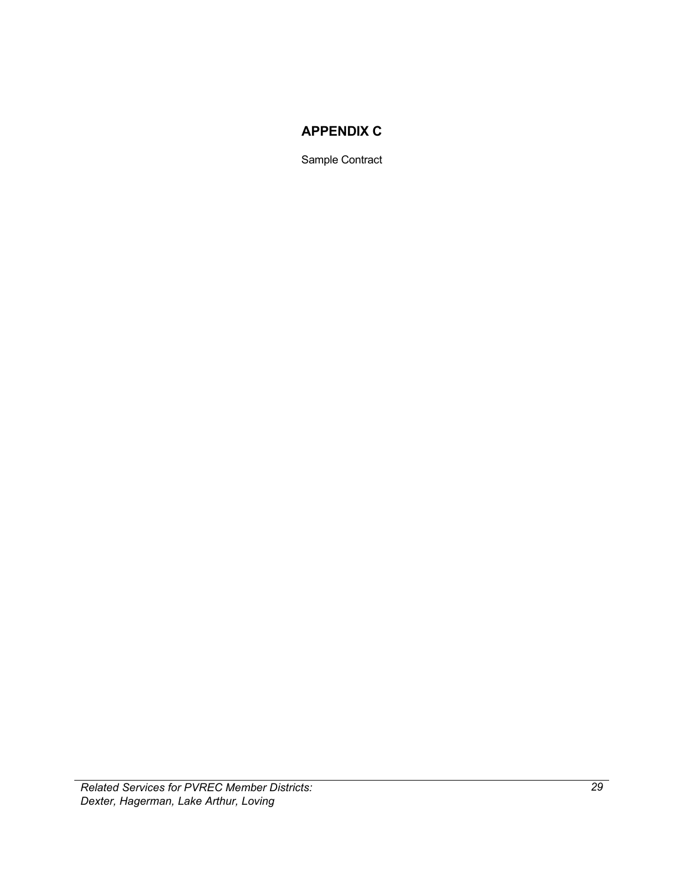### **APPENDIX C**

Sample Contract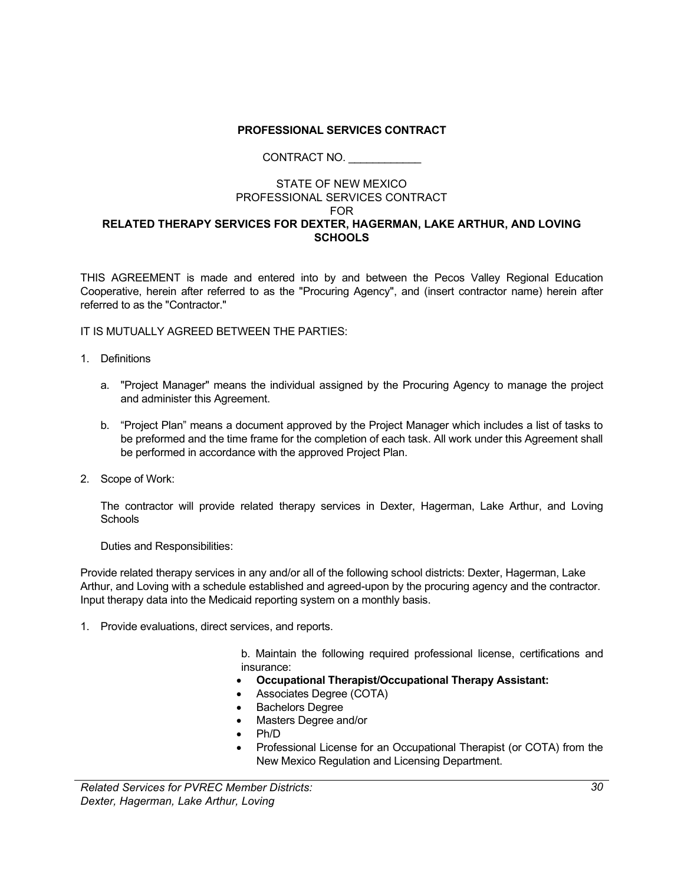### **PROFESSIONAL SERVICES CONTRACT**

### CONTRACT NO. \_\_\_\_\_\_\_\_\_\_\_\_

#### STATE OF NEW MEXICO PROFESSIONAL SERVICES CONTRACT FOR **RELATED THERAPY SERVICES FOR DEXTER, HAGERMAN, LAKE ARTHUR, AND LOVING SCHOOLS**

THIS AGREEMENT is made and entered into by and between the Pecos Valley Regional Education Cooperative, herein after referred to as the "Procuring Agency", and (insert contractor name) herein after referred to as the "Contractor."

### IT IS MUTUALLY AGREED BETWEEN THE PARTIES:

- 1. Definitions
	- a. "Project Manager" means the individual assigned by the Procuring Agency to manage the project and administer this Agreement.
	- b. "Project Plan" means a document approved by the Project Manager which includes a list of tasks to be preformed and the time frame for the completion of each task. All work under this Agreement shall be performed in accordance with the approved Project Plan.
- 2. Scope of Work:

The contractor will provide related therapy services in Dexter, Hagerman, Lake Arthur, and Loving **Schools** 

Duties and Responsibilities:

Provide related therapy services in any and/or all of the following school districts: Dexter, Hagerman, Lake Arthur, and Loving with a schedule established and agreed-upon by the procuring agency and the contractor. Input therapy data into the Medicaid reporting system on a monthly basis.

1. Provide evaluations, direct services, and reports.

b. Maintain the following required professional license, certifications and insurance:

- **Occupational Therapist/Occupational Therapy Assistant:**
- Associates Degree (COTA)
- **Bachelors Degree**
- Masters Degree and/or
- Ph/D
- Professional License for an Occupational Therapist (or COTA) from the New Mexico Regulation and Licensing Department.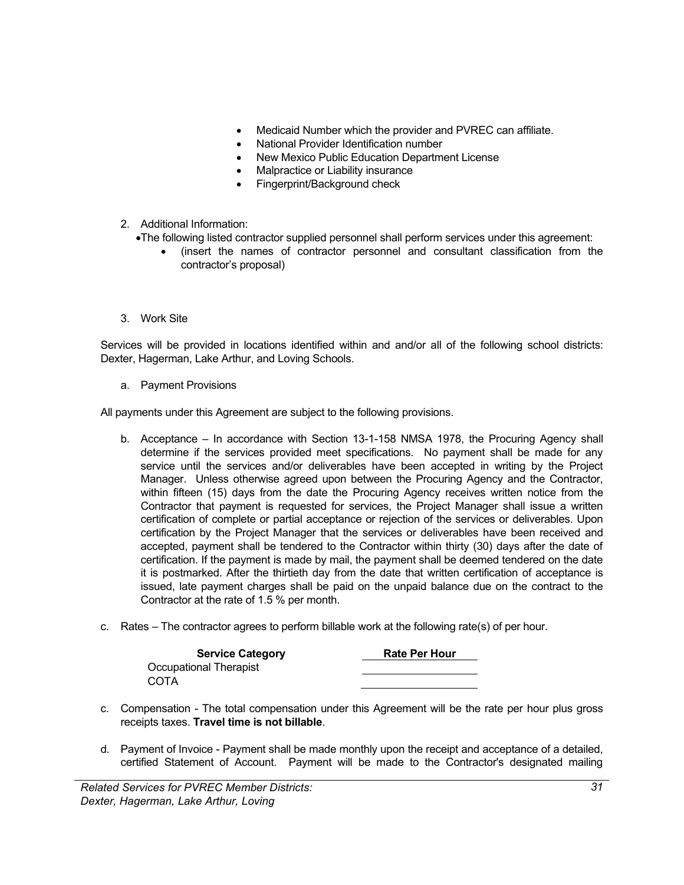- Medicaid Number which the provider and PVREC can affiliate.
- National Provider Identification number
- New Mexico Public Education Department License
- Malpractice or Liability insurance
- Fingerprint/Background check
- 2. Additional Information:
	- •The following listed contractor supplied personnel shall perform services under this agreement:
		- (insert the names of contractor personnel and consultant classification from the contractor's proposal)
- 3. Work Site

Services will be provided in locations identified within and and/or all of the following school districts: Dexter, Hagerman, Lake Arthur, and Loving Schools.

a. Payment Provisions

All payments under this Agreement are subject to the following provisions.

- b. Acceptance In accordance with Section 13-1-158 NMSA 1978, the Procuring Agency shall determine if the services provided meet specifications. No payment shall be made for any service until the services and/or deliverables have been accepted in writing by the Project Manager. Unless otherwise agreed upon between the Procuring Agency and the Contractor, within fifteen (15) days from the date the Procuring Agency receives written notice from the Contractor that payment is requested for services, the Project Manager shall issue a written certification of complete or partial acceptance or rejection of the services or deliverables. Upon certification by the Project Manager that the services or deliverables have been received and accepted, payment shall be tendered to the Contractor within thirty (30) days after the date of certification. If the payment is made by mail, the payment shall be deemed tendered on the date it is postmarked. After the thirtieth day from the date that written certification of acceptance is issued, late payment charges shall be paid on the unpaid balance due on the contract to the Contractor at the rate of 1.5 % per month.
- c. Rates The contractor agrees to perform billable work at the following rate(s) of per hour.

| <b>Service Category</b> | <b>Rate Per Hour</b> |
|-------------------------|----------------------|
| Occupational Therapist  |                      |
| COTA                    |                      |

- c. Compensation The total compensation under this Agreement will be the rate per hour plus gross receipts taxes. **Travel time is not billable**.
- d. Payment of Invoice Payment shall be made monthly upon the receipt and acceptance of a detailed, certified Statement of Account. Payment will be made to the Contractor's designated mailing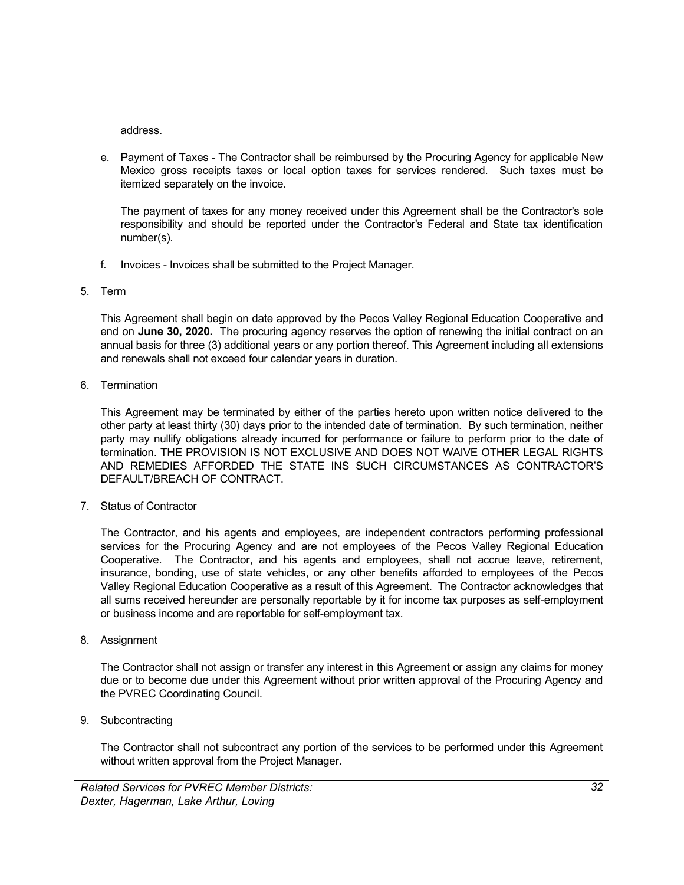address.

e. Payment of Taxes - The Contractor shall be reimbursed by the Procuring Agency for applicable New Mexico gross receipts taxes or local option taxes for services rendered. Such taxes must be itemized separately on the invoice.

The payment of taxes for any money received under this Agreement shall be the Contractor's sole responsibility and should be reported under the Contractor's Federal and State tax identification number(s).

- f. Invoices Invoices shall be submitted to the Project Manager.
- 5. Term

This Agreement shall begin on date approved by the Pecos Valley Regional Education Cooperative and end on **June 30, 2020.** The procuring agency reserves the option of renewing the initial contract on an annual basis for three (3) additional years or any portion thereof. This Agreement including all extensions and renewals shall not exceed four calendar years in duration.

6. Termination

This Agreement may be terminated by either of the parties hereto upon written notice delivered to the other party at least thirty (30) days prior to the intended date of termination. By such termination, neither party may nullify obligations already incurred for performance or failure to perform prior to the date of termination. THE PROVISION IS NOT EXCLUSIVE AND DOES NOT WAIVE OTHER LEGAL RIGHTS AND REMEDIES AFFORDED THE STATE INS SUCH CIRCUMSTANCES AS CONTRACTOR'S DEFAULT/BREACH OF CONTRACT.

7. Status of Contractor

The Contractor, and his agents and employees, are independent contractors performing professional services for the Procuring Agency and are not employees of the Pecos Valley Regional Education Cooperative. The Contractor, and his agents and employees, shall not accrue leave, retirement, insurance, bonding, use of state vehicles, or any other benefits afforded to employees of the Pecos Valley Regional Education Cooperative as a result of this Agreement. The Contractor acknowledges that all sums received hereunder are personally reportable by it for income tax purposes as self-employment or business income and are reportable for self-employment tax.

8. Assignment

The Contractor shall not assign or transfer any interest in this Agreement or assign any claims for money due or to become due under this Agreement without prior written approval of the Procuring Agency and the PVREC Coordinating Council.

9. Subcontracting

The Contractor shall not subcontract any portion of the services to be performed under this Agreement without written approval from the Project Manager.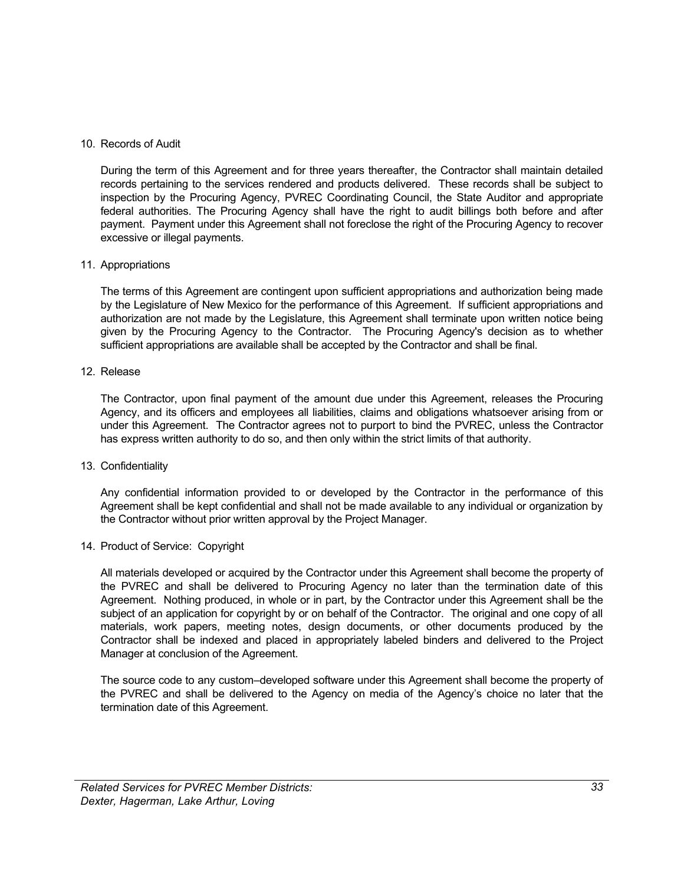### 10. Records of Audit

During the term of this Agreement and for three years thereafter, the Contractor shall maintain detailed records pertaining to the services rendered and products delivered. These records shall be subject to inspection by the Procuring Agency, PVREC Coordinating Council, the State Auditor and appropriate federal authorities. The Procuring Agency shall have the right to audit billings both before and after payment. Payment under this Agreement shall not foreclose the right of the Procuring Agency to recover excessive or illegal payments.

### 11. Appropriations

The terms of this Agreement are contingent upon sufficient appropriations and authorization being made by the Legislature of New Mexico for the performance of this Agreement. If sufficient appropriations and authorization are not made by the Legislature, this Agreement shall terminate upon written notice being given by the Procuring Agency to the Contractor. The Procuring Agency's decision as to whether sufficient appropriations are available shall be accepted by the Contractor and shall be final.

### 12. Release

The Contractor, upon final payment of the amount due under this Agreement, releases the Procuring Agency, and its officers and employees all liabilities, claims and obligations whatsoever arising from or under this Agreement. The Contractor agrees not to purport to bind the PVREC, unless the Contractor has express written authority to do so, and then only within the strict limits of that authority.

### 13. Confidentiality

Any confidential information provided to or developed by the Contractor in the performance of this Agreement shall be kept confidential and shall not be made available to any individual or organization by the Contractor without prior written approval by the Project Manager.

### 14. Product of Service: Copyright

All materials developed or acquired by the Contractor under this Agreement shall become the property of the PVREC and shall be delivered to Procuring Agency no later than the termination date of this Agreement. Nothing produced, in whole or in part, by the Contractor under this Agreement shall be the subject of an application for copyright by or on behalf of the Contractor. The original and one copy of all materials, work papers, meeting notes, design documents, or other documents produced by the Contractor shall be indexed and placed in appropriately labeled binders and delivered to the Project Manager at conclusion of the Agreement.

The source code to any custom–developed software under this Agreement shall become the property of the PVREC and shall be delivered to the Agency on media of the Agency's choice no later that the termination date of this Agreement.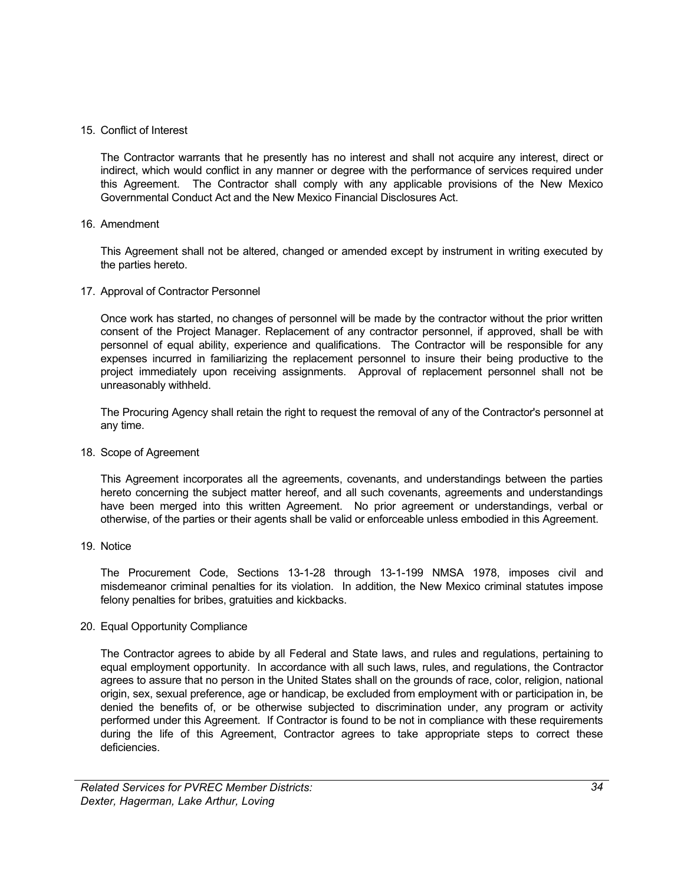### 15. Conflict of Interest

The Contractor warrants that he presently has no interest and shall not acquire any interest, direct or indirect, which would conflict in any manner or degree with the performance of services required under this Agreement. The Contractor shall comply with any applicable provisions of the New Mexico Governmental Conduct Act and the New Mexico Financial Disclosures Act.

### 16. Amendment

This Agreement shall not be altered, changed or amended except by instrument in writing executed by the parties hereto.

### 17. Approval of Contractor Personnel

Once work has started, no changes of personnel will be made by the contractor without the prior written consent of the Project Manager. Replacement of any contractor personnel, if approved, shall be with personnel of equal ability, experience and qualifications. The Contractor will be responsible for any expenses incurred in familiarizing the replacement personnel to insure their being productive to the project immediately upon receiving assignments. Approval of replacement personnel shall not be unreasonably withheld.

The Procuring Agency shall retain the right to request the removal of any of the Contractor's personnel at any time.

### 18. Scope of Agreement

This Agreement incorporates all the agreements, covenants, and understandings between the parties hereto concerning the subject matter hereof, and all such covenants, agreements and understandings have been merged into this written Agreement. No prior agreement or understandings, verbal or otherwise, of the parties or their agents shall be valid or enforceable unless embodied in this Agreement.

### 19. Notice

The Procurement Code, Sections 13-1-28 through 13-1-199 NMSA 1978, imposes civil and misdemeanor criminal penalties for its violation. In addition, the New Mexico criminal statutes impose felony penalties for bribes, gratuities and kickbacks.

### 20. Equal Opportunity Compliance

The Contractor agrees to abide by all Federal and State laws, and rules and regulations, pertaining to equal employment opportunity. In accordance with all such laws, rules, and regulations, the Contractor agrees to assure that no person in the United States shall on the grounds of race, color, religion, national origin, sex, sexual preference, age or handicap, be excluded from employment with or participation in, be denied the benefits of, or be otherwise subjected to discrimination under, any program or activity performed under this Agreement. If Contractor is found to be not in compliance with these requirements during the life of this Agreement, Contractor agrees to take appropriate steps to correct these deficiencies.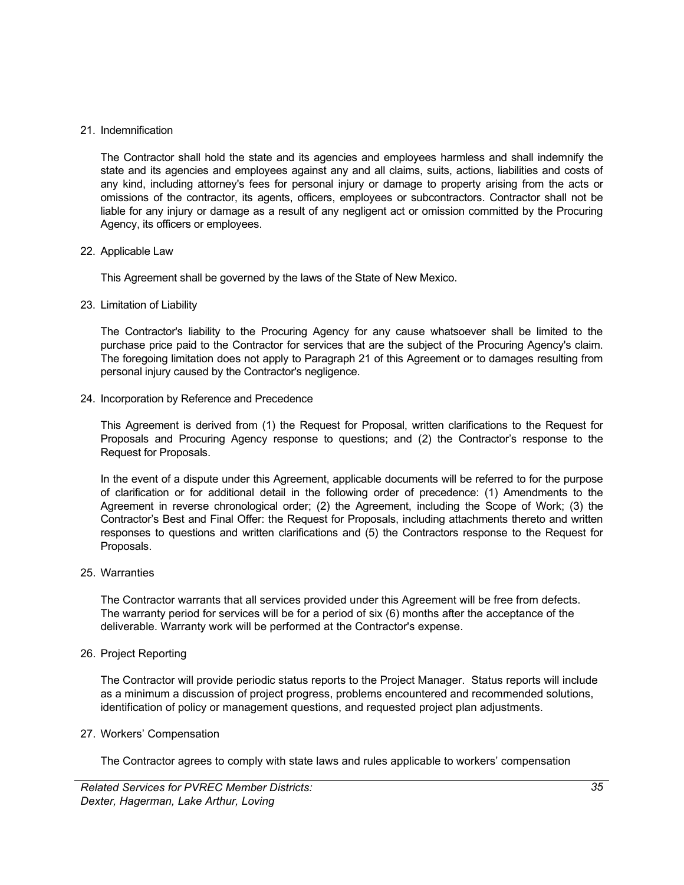#### 21. Indemnification

The Contractor shall hold the state and its agencies and employees harmless and shall indemnify the state and its agencies and employees against any and all claims, suits, actions, liabilities and costs of any kind, including attorney's fees for personal injury or damage to property arising from the acts or omissions of the contractor, its agents, officers, employees or subcontractors. Contractor shall not be liable for any injury or damage as a result of any negligent act or omission committed by the Procuring Agency, its officers or employees.

### 22. Applicable Law

This Agreement shall be governed by the laws of the State of New Mexico.

### 23. Limitation of Liability

The Contractor's liability to the Procuring Agency for any cause whatsoever shall be limited to the purchase price paid to the Contractor for services that are the subject of the Procuring Agency's claim. The foregoing limitation does not apply to Paragraph 21 of this Agreement or to damages resulting from personal injury caused by the Contractor's negligence.

24. Incorporation by Reference and Precedence

This Agreement is derived from (1) the Request for Proposal, written clarifications to the Request for Proposals and Procuring Agency response to questions; and (2) the Contractor's response to the Request for Proposals.

In the event of a dispute under this Agreement, applicable documents will be referred to for the purpose of clarification or for additional detail in the following order of precedence: (1) Amendments to the Agreement in reverse chronological order; (2) the Agreement, including the Scope of Work; (3) the Contractor's Best and Final Offer: the Request for Proposals, including attachments thereto and written responses to questions and written clarifications and (5) the Contractors response to the Request for Proposals.

### 25. Warranties

The Contractor warrants that all services provided under this Agreement will be free from defects. The warranty period for services will be for a period of six (6) months after the acceptance of the deliverable. Warranty work will be performed at the Contractor's expense.

### 26. Project Reporting

The Contractor will provide periodic status reports to the Project Manager. Status reports will include as a minimum a discussion of project progress, problems encountered and recommended solutions, identification of policy or management questions, and requested project plan adjustments.

#### 27. Workers' Compensation

The Contractor agrees to comply with state laws and rules applicable to workers' compensation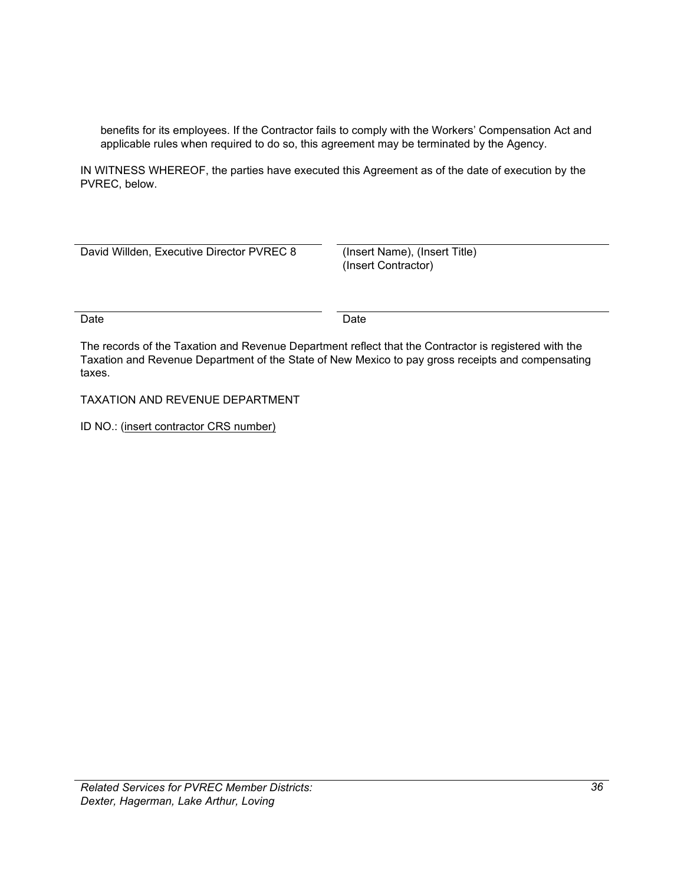benefits for its employees. If the Contractor fails to comply with the Workers' Compensation Act and applicable rules when required to do so, this agreement may be terminated by the Agency.

IN WITNESS WHEREOF, the parties have executed this Agreement as of the date of execution by the PVREC, below.

| David Willden, Executive Director PVREC 8 | (Insert Name), (Insert Title)<br>(Insert Contractor) |
|-------------------------------------------|------------------------------------------------------|
| Date                                      | Date                                                 |

The records of the Taxation and Revenue Department reflect that the Contractor is registered with the Taxation and Revenue Department of the State of New Mexico to pay gross receipts and compensating taxes.

TAXATION AND REVENUE DEPARTMENT

ID NO.: (insert contractor CRS number)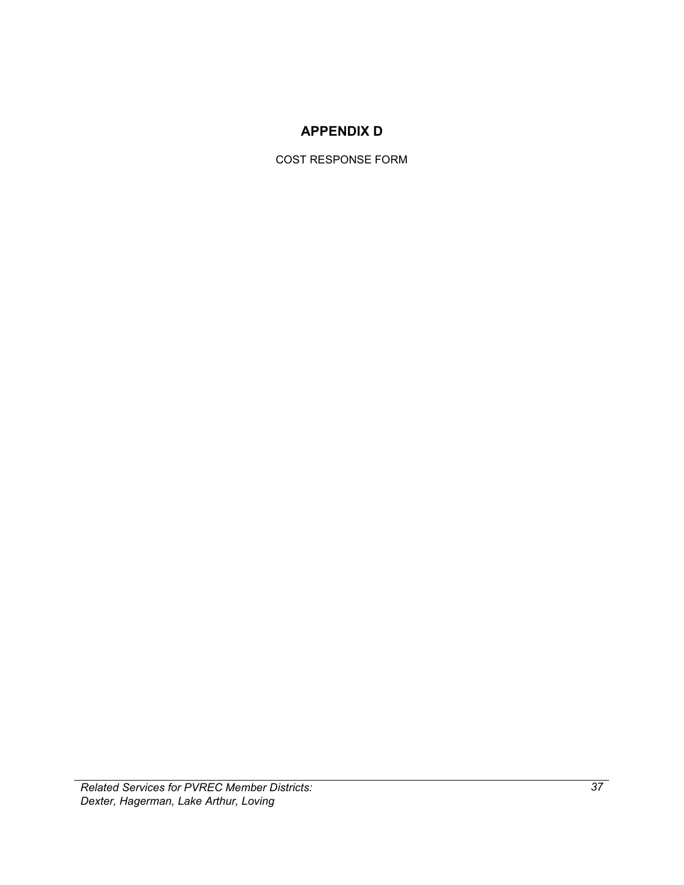### **APPENDIX D**

COST RESPONSE FORM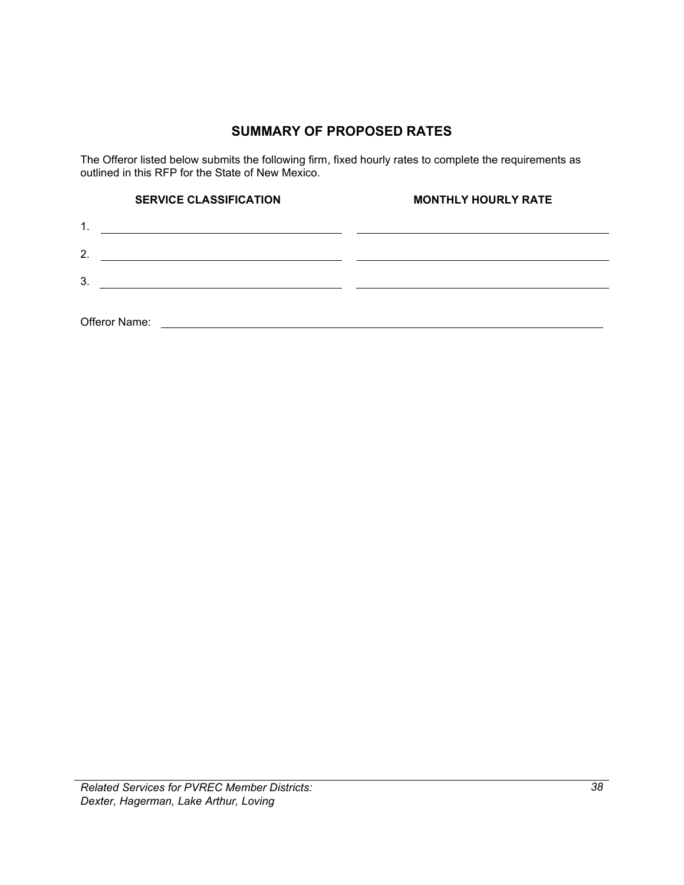### **SUMMARY OF PROPOSED RATES**

The Offeror listed below submits the following firm, fixed hourly rates to complete the requirements as outlined in this RFP for the State of New Mexico.

| <b>SERVICE CLASSIFICATION</b>                                                                                                           | <b>MONTHLY HOURLY RATE</b> |
|-----------------------------------------------------------------------------------------------------------------------------------------|----------------------------|
| $\mathbf{1}$ .<br><u> 1989 - Johann Barbara, martin amerikan basar dan berasal dalam basa dalam basar dalam basar dalam basar dalam</u> |                            |
| 2.                                                                                                                                      |                            |
| 3.                                                                                                                                      |                            |
|                                                                                                                                         |                            |
| Offeror Name:                                                                                                                           |                            |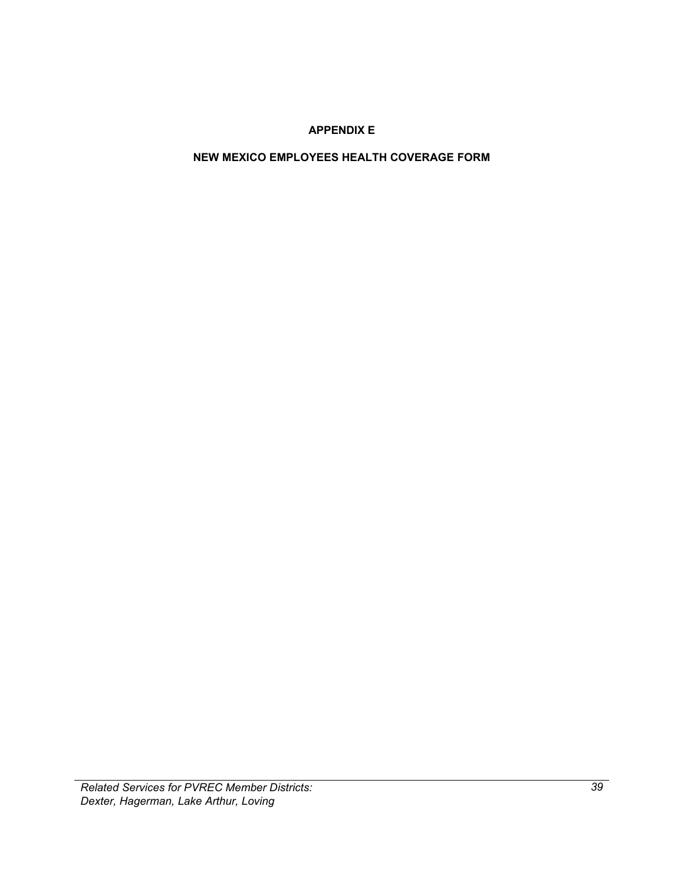### **APPENDIX E**

### <span id="page-42-0"></span>**NEW MEXICO EMPLOYEES HEALTH COVERAGE FORM**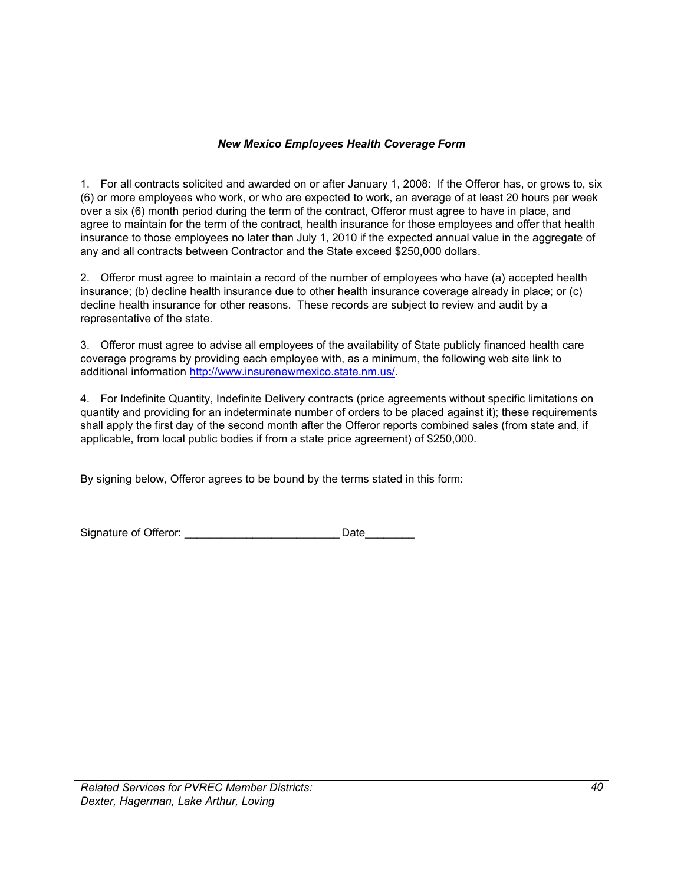### *New Mexico Employees Health Coverage Form*

1. For all contracts solicited and awarded on or after January 1, 2008: If the Offeror has, or grows to, six (6) or more employees who work, or who are expected to work, an average of at least 20 hours per week over a six (6) month period during the term of the contract, Offeror must agree to have in place, and agree to maintain for the term of the contract, health insurance for those employees and offer that health insurance to those employees no later than July 1, 2010 if the expected annual value in the aggregate of any and all contracts between Contractor and the State exceed \$250,000 dollars.

2. Offeror must agree to maintain a record of the number of employees who have (a) accepted health insurance; (b) decline health insurance due to other health insurance coverage already in place; or (c) decline health insurance for other reasons. These records are subject to review and audit by a representative of the state.

3. Offeror must agree to advise all employees of the availability of State publicly financed health care coverage programs by providing each employee with, as a minimum, the following web site link to additional information [http://www.insurenewmexico.state.nm.us/.](http://www.insurenewmexico.state.nm.us/)

4. For Indefinite Quantity, Indefinite Delivery contracts (price agreements without specific limitations on quantity and providing for an indeterminate number of orders to be placed against it); these requirements shall apply the first day of the second month after the Offeror reports combined sales (from state and, if applicable, from local public bodies if from a state price agreement) of \$250,000.

By signing below, Offeror agrees to be bound by the terms stated in this form:

| Signature of Offeror: | Date |
|-----------------------|------|
|                       |      |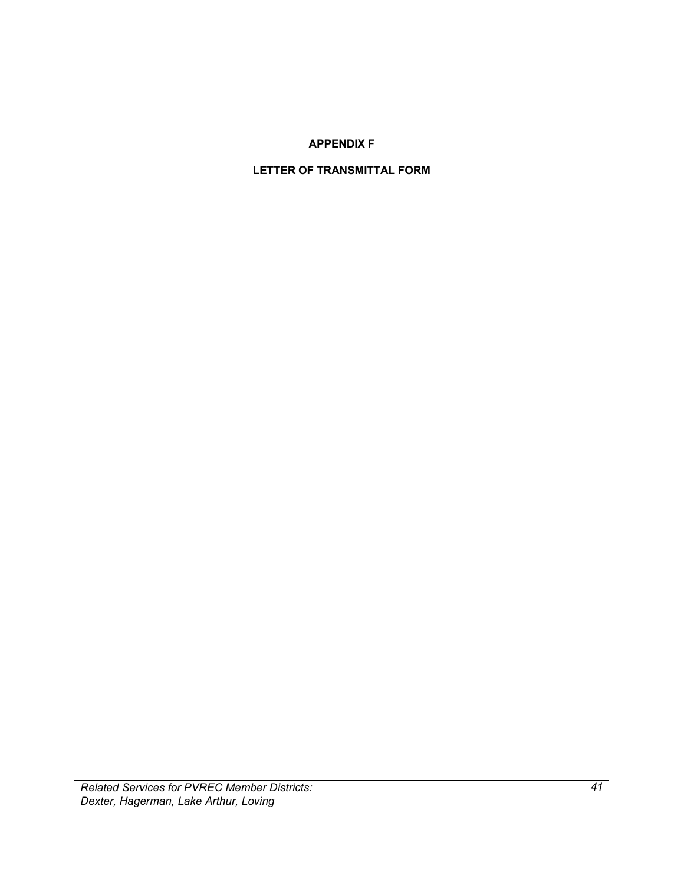### **APPENDIX F**

### <span id="page-44-1"></span><span id="page-44-0"></span>**LETTER OF TRANSMITTAL FORM**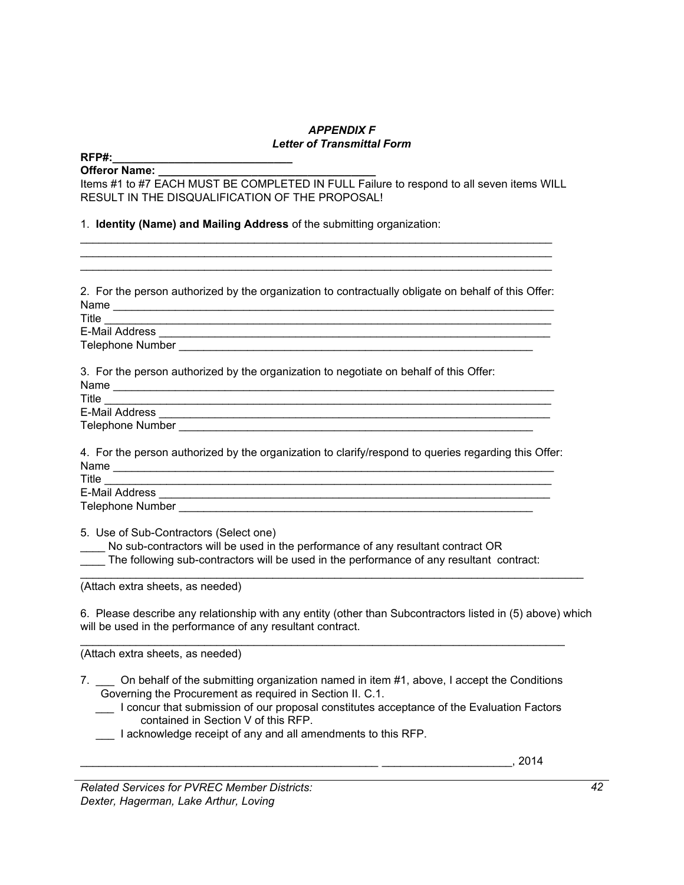### *APPENDIX F Letter of Transmittal Form*

\_\_\_\_\_\_\_\_\_\_\_\_\_\_\_\_\_\_\_\_\_\_\_\_\_\_\_\_\_\_\_\_\_\_\_\_\_\_\_\_\_\_\_\_\_\_\_\_\_\_\_\_\_\_\_\_\_\_\_\_\_\_\_\_\_\_\_\_\_\_\_\_\_\_\_\_

#### **RFP#:\_\_\_\_\_\_\_\_\_\_\_\_\_\_\_\_\_\_\_\_\_\_\_\_\_\_\_\_\_**

### Offeror Name:

Items #1 to #7 EACH MUST BE COMPLETED IN FULL Failure to respond to all seven items WILL RESULT IN THE DISQUALIFICATION OF THE PROPOSAL!

1. **Identity (Name) and Mailing Address** of the submitting organization:

2. For the person authorized by the organization to contractually obligate on behalf of this Offer: Name \_\_\_\_\_\_\_\_\_\_\_\_\_\_\_\_\_\_\_\_\_\_\_\_\_\_\_\_\_\_\_\_\_\_\_\_\_\_\_\_\_\_\_\_\_\_\_\_\_\_\_\_\_\_\_\_\_\_\_\_\_\_\_\_\_\_\_\_\_\_\_

 $\mathcal{L}_\text{max}$  and  $\mathcal{L}_\text{max}$  and  $\mathcal{L}_\text{max}$  and  $\mathcal{L}_\text{max}$  and  $\mathcal{L}_\text{max}$  and  $\mathcal{L}_\text{max}$ 

Title \_\_\_\_\_\_\_\_\_\_\_\_\_\_\_\_\_\_\_\_\_\_\_\_\_\_\_\_\_\_\_\_\_\_\_\_\_\_\_\_\_\_\_\_\_\_\_\_\_\_\_\_\_\_\_\_\_\_\_\_\_\_\_\_\_\_\_\_\_\_\_\_ E-Mail Address

Telephone Number \_\_\_\_\_\_\_\_\_\_\_\_\_\_\_\_\_\_\_\_\_\_\_\_\_\_\_\_\_\_\_\_\_\_\_\_\_\_\_\_\_\_\_\_\_\_\_\_\_\_\_\_\_\_\_\_\_

3. For the person authorized by the organization to negotiate on behalf of this Offer:

| Name             |  |
|------------------|--|
| Title            |  |
| E-Mail Address   |  |
| Telephone Number |  |

4. For the person authorized by the organization to clarify/respond to queries regarding this Offer: Name \_\_\_\_\_\_\_\_\_\_\_\_\_\_\_\_\_\_\_\_\_\_\_\_\_\_\_\_\_\_\_\_\_\_\_\_\_\_\_\_\_\_\_\_\_\_\_\_\_\_\_\_\_\_\_\_\_\_\_\_\_\_\_\_\_\_\_\_\_\_\_

Title  $\overline{\phantom{a}}$ E-Mail Address \_\_\_\_\_\_\_\_\_\_\_\_\_\_\_\_\_\_\_\_\_\_\_\_\_\_\_\_\_\_\_\_\_\_\_\_\_\_\_\_\_\_\_\_\_\_\_\_\_\_\_\_\_\_\_\_\_\_\_\_\_\_\_ Telephone Number

5. Use of Sub-Contractors (Select one)

No sub-contractors will be used in the performance of any resultant contract OR

The following sub-contractors will be used in the performance of any resultant contract:

(Attach extra sheets, as needed)

6. Please describe any relationship with any entity (other than Subcontractors listed in (5) above) which will be used in the performance of any resultant contract.

(Attach extra sheets, as needed)

7. On behalf of the submitting organization named in item #1, above, I accept the Conditions Governing the Procurement as required in Section II. C.1.

 $\mathcal{L}_\text{max}$  and  $\mathcal{L}_\text{max}$  and  $\mathcal{L}_\text{max}$  and  $\mathcal{L}_\text{max}$  and  $\mathcal{L}_\text{max}$  and  $\mathcal{L}_\text{max}$ 

- \_\_\_ I concur that submission of our proposal constitutes acceptance of the Evaluation Factors contained in Section V of this RFP.
- \_\_\_ I acknowledge receipt of any and all amendments to this RFP.

\_\_\_\_\_\_\_\_\_\_\_\_\_\_\_\_\_\_\_\_\_\_\_\_\_\_\_\_\_\_\_\_\_\_\_\_\_\_\_\_\_\_\_\_\_\_\_\_ \_\_\_\_\_\_\_\_\_\_\_\_\_\_\_\_\_\_\_\_\_, 2014

*Related Services for PVREC Member Districts: Dexter, Hagerman, Lake Arthur, Loving*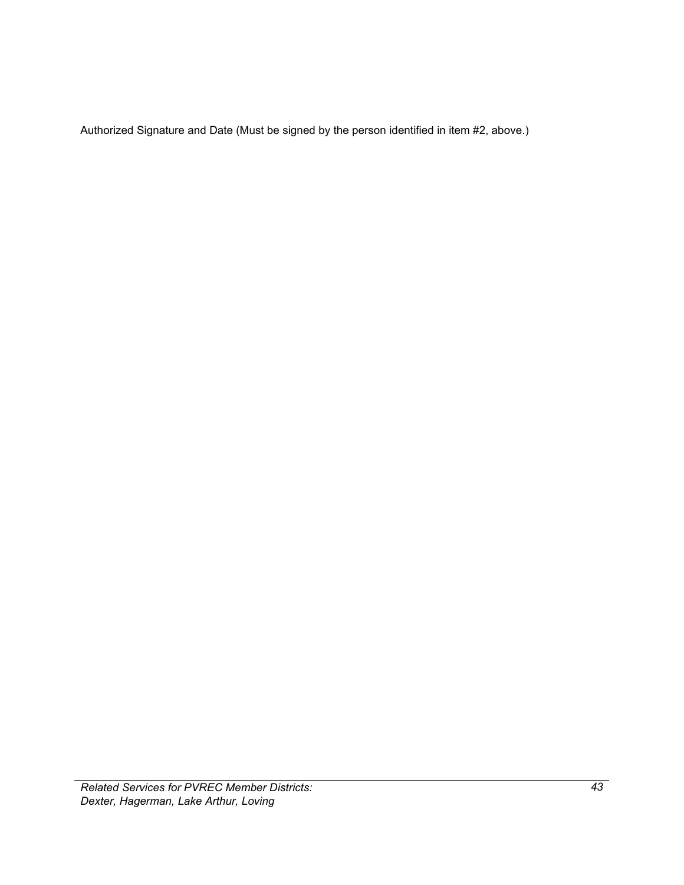Authorized Signature and Date (Must be signed by the person identified in item #2, above.)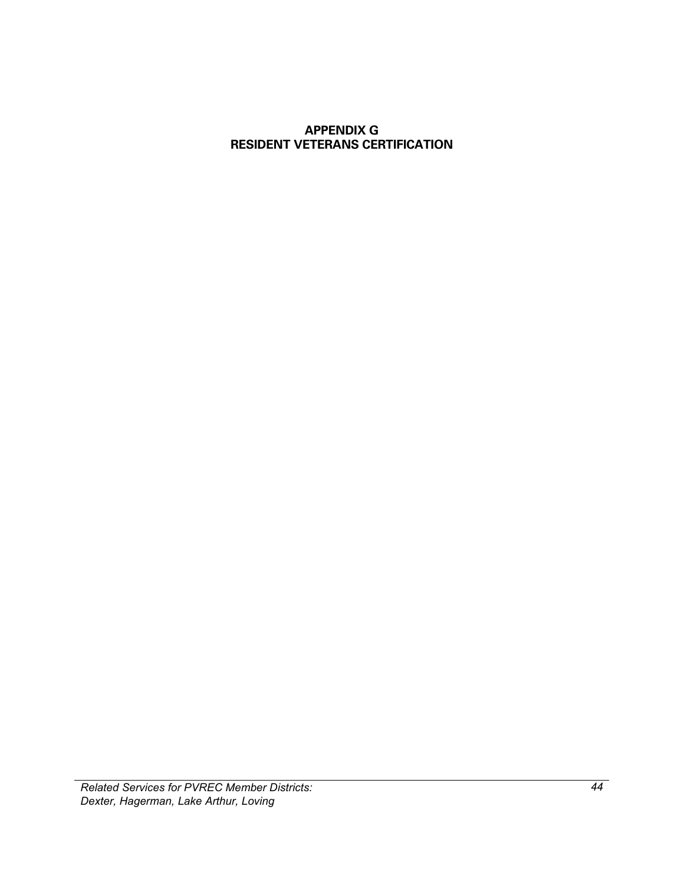### <span id="page-47-1"></span><span id="page-47-0"></span>**APPENDIX G RESIDENT VETERANS CERTIFICATION**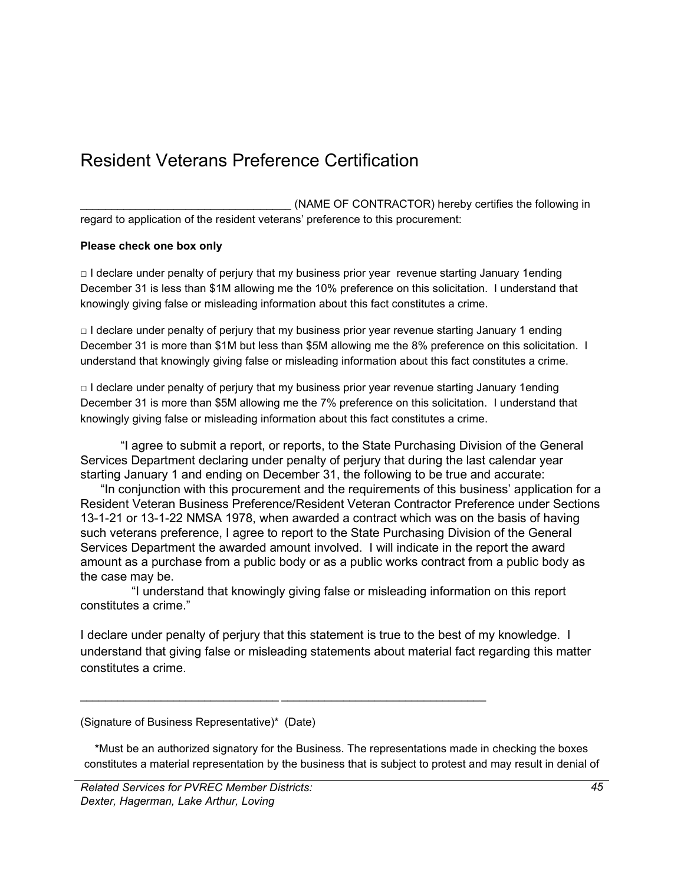## Resident Veterans Preference Certification

(NAME OF CONTRACTOR) hereby certifies the following in regard to application of the resident veterans' preference to this procurement:

### **Please check one box only**

 $\Box$  I declare under penalty of perjury that my business prior year revenue starting January 1ending December 31 is less than \$1M allowing me the 10% preference on this solicitation. I understand that knowingly giving false or misleading information about this fact constitutes a crime.

 $\Box$  I declare under penalty of perjury that my business prior year revenue starting January 1 ending December 31 is more than \$1M but less than \$5M allowing me the 8% preference on this solicitation. I understand that knowingly giving false or misleading information about this fact constitutes a crime.

 $\Box$  I declare under penalty of perjury that my business prior year revenue starting January 1ending December 31 is more than \$5M allowing me the 7% preference on this solicitation. I understand that knowingly giving false or misleading information about this fact constitutes a crime.

"I agree to submit a report, or reports, to the State Purchasing Division of the General Services Department declaring under penalty of perjury that during the last calendar year starting January 1 and ending on December 31, the following to be true and accurate:

 "In conjunction with this procurement and the requirements of this business' application for a Resident Veteran Business Preference/Resident Veteran Contractor Preference under Sections 13-1-21 or 13-1-22 NMSA 1978, when awarded a contract which was on the basis of having such veterans preference, I agree to report to the State Purchasing Division of the General Services Department the awarded amount involved. I will indicate in the report the award amount as a purchase from a public body or as a public works contract from a public body as the case may be.

 "I understand that knowingly giving false or misleading information on this report constitutes a crime."

 $\mathcal{L}_\text{max}$  , and the set of the set of the set of the set of the set of the set of the set of the set of the set of

I declare under penalty of perjury that this statement is true to the best of my knowledge. I understand that giving false or misleading statements about material fact regarding this matter constitutes a crime.

\*Must be an authorized signatory for the Business. The representations made in checking the boxes constitutes a material representation by the business that is subject to protest and may result in denial of

<sup>(</sup>Signature of Business Representative)\* (Date)